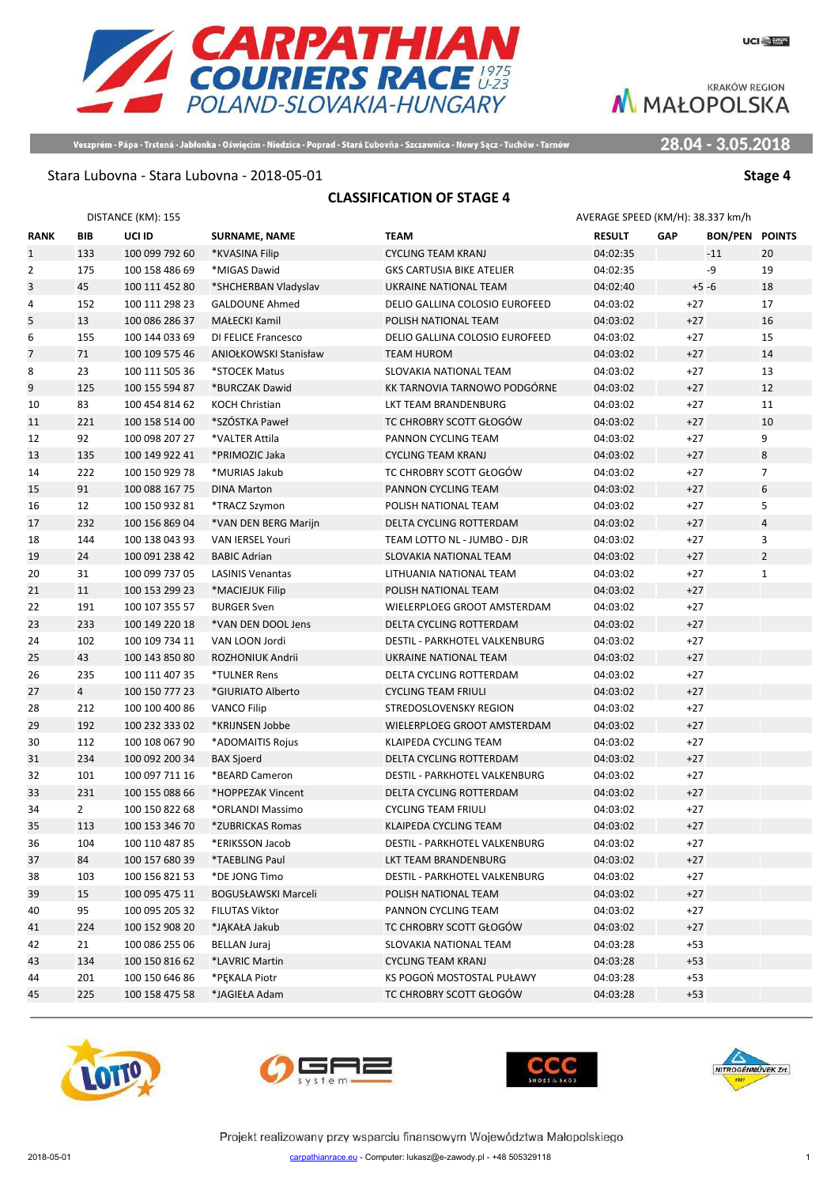28.04 - 3.05.2018

Veszprém - Pápa - Trstená - Jabłonka - Oświęcim - Niedzica - Poprad - Stará Ľubovňa - Szczawnica - Nowy Sącz - Tuchów - Tarnów

**CARPATHIAN**<br>COURIERS RACE 1975<br>POLAND-SLOVAKIA-HUNGARY

#### Stara Lubovna - Stara Lubovna - 2018-05-01 **Stage 4** Stage 4

### **CLASSIFICATION OF STAGE 4**

| DISTANCE (KM): 155 |                |                |                         |                                  | AVERAGE SPEED (KM/H): 38.337 km/h |            |                       |                |
|--------------------|----------------|----------------|-------------------------|----------------------------------|-----------------------------------|------------|-----------------------|----------------|
| RANK               | BIB            | UCI ID         | <b>SURNAME, NAME</b>    | <b>TEAM</b>                      | <b>RESULT</b>                     | <b>GAP</b> | <b>BON/PEN POINTS</b> |                |
| $\mathbf{1}$       | 133            | 100 099 792 60 | *KVASINA Filip          | <b>CYCLING TEAM KRANJ</b>        | 04:02:35                          |            | $-11$                 | 20             |
| 2                  | 175            | 100 158 486 69 | *MIGAS Dawid            | <b>GKS CARTUSIA BIKE ATELIER</b> | 04:02:35                          |            | -9                    | 19             |
| 3                  | 45             | 100 111 452 80 | *SHCHERBAN Vladyslav    | UKRAINE NATIONAL TEAM            | 04:02:40                          |            | $+5 - 6$              | 18             |
| 4                  | 152            | 100 111 298 23 | <b>GALDOUNE Ahmed</b>   | DELIO GALLINA COLOSIO EUROFEED   | 04:03:02                          |            | $+27$                 | 17             |
| 5                  | 13             | 100 086 286 37 | MAŁECKI Kamil           | POLISH NATIONAL TEAM             | 04:03:02                          |            | $+27$                 | 16             |
| 6                  | 155            | 100 144 033 69 | DI FELICE Francesco     | DELIO GALLINA COLOSIO EUROFEED   | 04:03:02                          |            | $+27$                 | 15             |
| 7                  | 71             | 100 109 575 46 | ANIOŁKOWSKI Stanisław   | <b>TEAM HUROM</b>                | 04:03:02                          |            | $+27$                 | 14             |
| 8                  | 23             | 100 111 505 36 | *STOCEK Matus           | SLOVAKIA NATIONAL TEAM           | 04:03:02                          |            | $+27$                 | 13             |
| 9                  | 125            | 100 155 594 87 | *BURCZAK Dawid          | KK TARNOVIA TARNOWO PODGÓRNE     | 04:03:02                          |            | $+27$                 | 12             |
| 10                 | 83             | 100 454 814 62 | <b>KOCH Christian</b>   | LKT TEAM BRANDENBURG             | 04:03:02                          |            | $+27$                 | 11             |
| 11                 | 221            | 100 158 514 00 | *SZÓSTKA Paweł          | TC CHROBRY SCOTT GŁOGÓW          | 04:03:02                          |            | $+27$                 | 10             |
| 12                 | 92             | 100 098 207 27 | *VALTER Attila          | PANNON CYCLING TEAM              | 04:03:02                          |            | $+27$                 | 9              |
| 13                 | 135            | 100 149 922 41 | *PRIMOZIC Jaka          | <b>CYCLING TEAM KRANJ</b>        | 04:03:02                          |            | $+27$                 | 8              |
| 14                 | 222            | 100 150 929 78 | *MURIAS Jakub           | TC CHROBRY SCOTT GŁOGÓW          | 04:03:02                          |            | $+27$                 | $\overline{7}$ |
| 15                 | 91             | 100 088 167 75 | <b>DINA Marton</b>      | PANNON CYCLING TEAM              | 04:03:02                          |            | $+27$                 | 6              |
| 16                 | 12             | 100 150 932 81 | *TRACZ Szymon           | POLISH NATIONAL TEAM             | 04:03:02                          |            | $+27$                 | 5              |
| 17                 | 232            | 100 156 869 04 | *VAN DEN BERG Marijn    | <b>DELTA CYCLING ROTTERDAM</b>   | 04:03:02                          |            | $+27$                 | $\overline{4}$ |
| 18                 | 144            | 100 138 043 93 | <b>VAN IERSEL Youri</b> | TEAM LOTTO NL - JUMBO - DJR      | 04:03:02                          |            | $+27$                 | 3              |
| 19                 | 24             | 100 091 238 42 | <b>BABIC Adrian</b>     | SLOVAKIA NATIONAL TEAM           | 04:03:02                          |            | $+27$                 | $\overline{2}$ |
| 20                 | 31             | 100 099 737 05 | <b>LASINIS Venantas</b> | LITHUANIA NATIONAL TEAM          | 04:03:02                          |            | $+27$                 | $\mathbf{1}$   |
| 21                 | 11             | 100 153 299 23 | *MACIEJUK Filip         | POLISH NATIONAL TEAM             | 04:03:02                          |            | $+27$                 |                |
| 22                 | 191            | 100 107 355 57 | <b>BURGER Sven</b>      | WIELERPLOEG GROOT AMSTERDAM      | 04:03:02                          |            | $+27$                 |                |
| 23                 | 233            | 100 149 220 18 | *VAN DEN DOOL Jens      | DELTA CYCLING ROTTERDAM          | 04:03:02                          |            | $+27$                 |                |
| 24                 | 102            | 100 109 734 11 | VAN LOON Jordi          | DESTIL - PARKHOTEL VALKENBURG    | 04:03:02                          |            | $+27$                 |                |
| 25                 | 43             | 100 143 850 80 | ROZHONIUK Andrii        | UKRAINE NATIONAL TEAM            | 04:03:02                          |            | $+27$                 |                |
| 26                 | 235            | 100 111 407 35 | *TULNER Rens            | DELTA CYCLING ROTTERDAM          | 04:03:02                          |            | $+27$                 |                |
| 27                 | $\overline{4}$ | 100 150 777 23 | *GIURIATO Alberto       | <b>CYCLING TEAM FRIULI</b>       | 04:03:02                          |            | $+27$                 |                |
| 28                 | 212            | 100 100 400 86 | <b>VANCO Filip</b>      | STREDOSLOVENSKY REGION           | 04:03:02                          |            | $+27$                 |                |
| 29                 | 192            | 100 232 333 02 | *KRIJNSEN Jobbe         | WIELERPLOEG GROOT AMSTERDAM      | 04:03:02                          |            | $+27$                 |                |
| 30                 | 112            | 100 108 067 90 | *ADOMAITIS Rojus        | KLAIPEDA CYCLING TEAM            | 04:03:02                          |            | $+27$                 |                |
| 31                 | 234            | 100 092 200 34 | <b>BAX Sjoerd</b>       | DELTA CYCLING ROTTERDAM          | 04:03:02                          |            | $+27$                 |                |
| 32                 | 101            | 100 097 711 16 | *BEARD Cameron          | DESTIL - PARKHOTEL VALKENBURG    | 04:03:02                          |            | $+27$                 |                |
| 33                 | 231            | 100 155 088 66 | *HOPPEZAK Vincent       | DELTA CYCLING ROTTERDAM          | 04:03:02                          |            | $+27$                 |                |
| 34                 | $2^{\circ}$    | 100 150 822 68 | *ORLANDI Massimo        | <b>CYCLING TEAM FRIULI</b>       | 04:03:02                          |            | $+27$                 |                |
| 35                 | 113            | 100 153 346 70 | *ZUBRICKAS Romas        | KLAIPEDA CYCLING TEAM            | 04:03:02                          |            | $+27$                 |                |
| 36                 | 104            | 100 110 487 85 | *ERIKSSON Jacob         | DESTIL - PARKHOTEL VALKENBURG    | 04:03:02                          |            | $+27$                 |                |
| 37                 | 84             | 100 157 680 39 | *TAEBLING Paul          | LKT TEAM BRANDENBURG             | 04:03:02                          |            | $+27$                 |                |
| 38                 | 103            | 100 156 821 53 | *DE JONG Timo           | DESTIL - PARKHOTEL VALKENBURG    | 04:03:02                          |            | $+27$                 |                |
| 39                 | 15             | 100 095 475 11 | BOGUSŁAWSKI Marceli     | POLISH NATIONAL TEAM             | 04:03:02                          |            | $+27$                 |                |
| 40                 | 95             | 100 095 205 32 | FILUTAS Viktor          | PANNON CYCLING TEAM              | 04:03:02                          |            | $+27$                 |                |
| 41                 | 224            | 100 152 908 20 | *JĄKAŁA Jakub           | TC CHROBRY SCOTT GŁOGÓW          | 04:03:02                          |            | $+27$                 |                |
| 42                 | 21             | 100 086 255 06 | BELLAN Juraj            | SLOVAKIA NATIONAL TEAM           | 04:03:28                          |            | $+53$                 |                |
| 43                 | 134            | 100 150 816 62 | *LAVRIC Martin          | <b>CYCLING TEAM KRANJ</b>        | 04:03:28                          |            | $+53$                 |                |
| 44                 | 201            | 100 150 646 86 | *PEKALA Piotr           | KS POGOŃ MOSTOSTAL PUŁAWY        | 04:03:28                          |            | $+53$                 |                |
| 45                 | 225            | 100 158 475 58 | *JAGIEŁA Adam           | TC CHROBRY SCOTT GŁOGÓW          | 04:03:28                          |            | $+53$                 |                |









Projekt realizowany przy wsparciu finansowym Województwa Małopolskiego 2018-05-01 carpathianrace.eu - Computer: lukasz@e-zawody.pl - +48 505329118 2018-05-01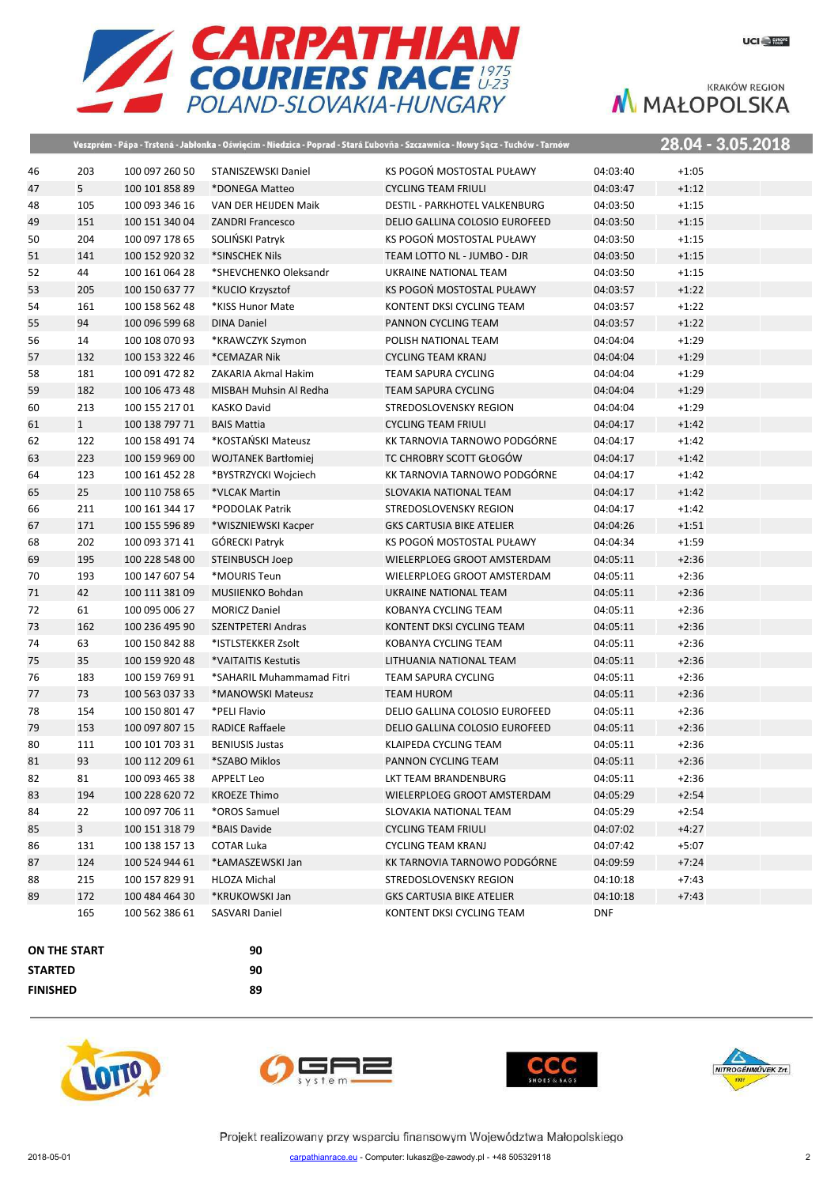

|              |                      |                                  |                                  | Veszprém - Pápa - Trstená - Jabłonka - Oświęcim - Niedzica - Poprad - Stará Ľubovňa - Szczawnica - Nowy Sącz - Tuchów - Tarnów |                      |                    | 28.04 - 3.05.2018 |
|--------------|----------------------|----------------------------------|----------------------------------|--------------------------------------------------------------------------------------------------------------------------------|----------------------|--------------------|-------------------|
| 46           | 203                  | 100 097 260 50                   | STANISZEWSKI Daniel              | KS POGOŃ MOSTOSTAL PUŁAWY                                                                                                      | 04:03:40             | $+1:05$            |                   |
| 47           | $5\overline{)}$      | 100 101 858 89                   | *DONEGA Matteo                   | <b>CYCLING TEAM FRIULI</b>                                                                                                     | 04:03:47             | $+1:12$            |                   |
| 48           | 105                  | 100 093 346 16                   | VAN DER HEIJDEN Maik             | DESTIL - PARKHOTEL VALKENBURG                                                                                                  | 04:03:50             | $+1:15$            |                   |
| 49           | 151                  | 100 151 340 04                   | <b>ZANDRI Francesco</b>          | DELIO GALLINA COLOSIO EUROFEED                                                                                                 | 04:03:50             | $+1:15$            |                   |
| 50           | 204                  | 100 097 178 65                   | SOLIŃSKI Patryk                  | KS POGOŃ MOSTOSTAL PUŁAWY                                                                                                      | 04:03:50             | $+1:15$            |                   |
| 51           | 141                  | 100 152 920 32                   | *SINSCHEK Nils                   | TEAM LOTTO NL - JUMBO - DJR                                                                                                    | 04:03:50             | $+1:15$            |                   |
| 52           | 44                   | 100 161 064 28                   | *SHEVCHENKO Oleksandr            | UKRAINE NATIONAL TEAM                                                                                                          | 04:03:50             | $+1:15$            |                   |
| 53           | 205                  | 100 150 637 77                   | *KUCIO Krzysztof                 | KS POGOŃ MOSTOSTAL PUŁAWY                                                                                                      | 04:03:57             | $+1:22$            |                   |
| 54           | 161                  | 100 158 562 48                   | *KISS Hunor Mate                 | KONTENT DKSI CYCLING TEAM                                                                                                      | 04:03:57             | $+1:22$            |                   |
| 55           | 94                   | 100 096 599 68                   | <b>DINA Daniel</b>               | PANNON CYCLING TEAM                                                                                                            | 04:03:57             | $+1:22$            |                   |
| 56           | 14                   | 100 108 070 93                   | *KRAWCZYK Szymon                 | POLISH NATIONAL TEAM                                                                                                           | 04:04:04             | $+1:29$            |                   |
| 57           | 132                  | 100 153 322 46                   | *CEMAZAR Nik                     | <b>CYCLING TEAM KRANJ</b>                                                                                                      | 04:04:04             | $+1:29$            |                   |
| 58           | 181                  | 100 091 472 82                   | ZAKARIA Akmal Hakim              | <b>TEAM SAPURA CYCLING</b>                                                                                                     | 04:04:04             | $+1:29$            |                   |
| 59           | 182                  | 100 106 473 48                   | MISBAH Muhsin Al Redha           | <b>TEAM SAPURA CYCLING</b>                                                                                                     | 04:04:04             | $+1:29$            |                   |
| 60           | 213                  | 100 155 217 01                   | <b>KASKO David</b>               | STREDOSLOVENSKY REGION                                                                                                         | 04:04:04             | $+1:29$            |                   |
| 61           | $\mathbf{1}$         | 100 138 797 71                   | <b>BAIS Mattia</b>               | <b>CYCLING TEAM FRIULI</b>                                                                                                     | 04:04:17             | $+1:42$            |                   |
| 62           | 122                  | 100 158 491 74                   | *KOSTAŃSKI Mateusz               | KK TARNOVIA TARNOWO PODGÓRNE                                                                                                   | 04:04:17             | $+1:42$            |                   |
| 63           | 223                  | 100 159 969 00                   | <b>WOJTANEK Bartłomiej</b>       | TC CHROBRY SCOTT GŁOGÓW                                                                                                        | 04:04:17             | $+1:42$            |                   |
| 64           | 123                  | 100 161 452 28                   | *BYSTRZYCKI Wojciech             | KK TARNOVIA TARNOWO PODGÓRNE                                                                                                   | 04:04:17             | $+1:42$            |                   |
| 65           | 25                   | 100 110 758 65                   | *VLCAK Martin                    | SLOVAKIA NATIONAL TEAM                                                                                                         | 04:04:17             | $+1:42$            |                   |
| 66           | 211                  | 100 161 344 17                   | *PODOLAK Patrik                  | STREDOSLOVENSKY REGION                                                                                                         | 04:04:17             | $+1:42$            |                   |
| 67           | 171                  | 100 155 596 89                   | *WISZNIEWSKI Kacper              | <b>GKS CARTUSIA BIKE ATELIER</b>                                                                                               | 04:04:26             | $+1:51$            |                   |
| 68           | 202                  | 100 093 371 41                   | GÓRECKI Patryk                   | KS POGOŃ MOSTOSTAL PUŁAWY                                                                                                      | 04:04:34             | $+1:59$            |                   |
| 69           | 195                  | 100 228 548 00                   | <b>STEINBUSCH Joep</b>           | WIELERPLOEG GROOT AMSTERDAM                                                                                                    | 04:05:11             | $+2:36$            |                   |
| 70           | 193                  | 100 147 607 54                   | *MOURIS Teun                     | WIELERPLOEG GROOT AMSTERDAM                                                                                                    | 04:05:11             | $+2:36$            |                   |
| 71           | 42                   | 100 111 381 09                   | MUSIIENKO Bohdan                 | UKRAINE NATIONAL TEAM                                                                                                          | 04:05:11             | $+2:36$            |                   |
| 72           | 61                   | 100 095 006 27                   | <b>MORICZ Daniel</b>             | KOBANYA CYCLING TEAM                                                                                                           | 04:05:11             | $+2:36$            |                   |
| 73           | 162                  | 100 236 495 90                   | <b>SZENTPETERI Andras</b>        | KONTENT DKSI CYCLING TEAM                                                                                                      | 04:05:11             | $+2:36$            |                   |
| 74           | 63                   | 100 150 842 88                   | *ISTLSTEKKER Zsolt               | KOBANYA CYCLING TEAM                                                                                                           | 04:05:11             | $+2:36$            |                   |
| 75           | 35                   | 100 159 920 48                   | *VAITAITIS Kestutis              | LITHUANIA NATIONAL TEAM                                                                                                        | 04:05:11             | $+2:36$            |                   |
| 76           | 183                  | 100 159 769 91                   | *SAHARIL Muhammamad Fitri        | <b>TEAM SAPURA CYCLING</b>                                                                                                     | 04:05:11             | $+2:36$            |                   |
| 77           | 73                   | 100 563 037 33                   | *MANOWSKI Mateusz                | <b>TEAM HUROM</b>                                                                                                              | 04:05:11             | $+2:36$            |                   |
| 78           | 154                  | 100 150 801 47                   | *PELI Flavio                     | DELIO GALLINA COLOSIO EUROFEED                                                                                                 | 04:05:11             | $+2:36$            |                   |
| 79           | 153                  | 100 097 807 15                   | <b>RADICE Raffaele</b>           | DELIO GALLINA COLOSIO EUROFEED                                                                                                 | 04:05:11             | $+2:36$            |                   |
| 80           | 111                  | 100 101 703 31                   | <b>BENIUSIS Justas</b>           | KLAIPEDA CYCLING TEAM                                                                                                          | 04:05:11             | $+2:36$            |                   |
| 81           | 93                   | 100 112 209 61                   | *SZABO Miklos                    | PANNON CYCLING TEAM                                                                                                            | 04:05:11             | $+2:36$            |                   |
| 82           | 81                   | 100 093 465 38                   | <b>APPELT Leo</b>                | LKT TEAM BRANDENBURG                                                                                                           | 04:05:11             | $+2:36$            |                   |
| 83           | 194                  | 100 228 620 72                   | <b>KROEZE Thimo</b>              | WIELERPLOEG GROOT AMSTERDAM                                                                                                    | 04:05:29             | $+2:54$<br>$+2:54$ |                   |
| 84           | 22<br>$\overline{3}$ | 100 097 706 11                   | *OROS Samuel                     | SLOVAKIA NATIONAL TEAM                                                                                                         | 04:05:29             |                    |                   |
| 85           | 131                  | 100 151 318 79<br>100 138 157 13 | *BAIS Davide<br>COTAR Luka       | <b>CYCLING TEAM FRIULI</b>                                                                                                     | 04:07:02<br>04:07:42 | $+4:27$<br>$+5:07$ |                   |
| 86           |                      |                                  |                                  | <b>CYCLING TEAM KRANJ</b><br>KK TARNOVIA TARNOWO PODGÓRNE                                                                      |                      |                    |                   |
| 87<br>88     | 124<br>215           | 100 524 944 61<br>100 157 829 91 | *ŁAMASZEWSKI Jan<br>HLOZA Michal | STREDOSLOVENSKY REGION                                                                                                         | 04:09:59<br>04:10:18 | $+7:24$<br>$+7:43$ |                   |
| 89           | 172                  | 100 484 464 30                   | *KRUKOWSKI Jan                   | <b>GKS CARTUSIA BIKE ATELIER</b>                                                                                               | 04:10:18             | $+7:43$            |                   |
|              | 165                  | 100 562 386 61                   |                                  |                                                                                                                                | <b>DNF</b>           |                    |                   |
|              |                      |                                  | SASVARI Daniel                   | KONTENT DKSI CYCLING TEAM                                                                                                      |                      |                    |                   |
| ON THE START |                      |                                  | 90                               |                                                                                                                                |                      |                    |                   |
| CTADTTD      |                      |                                  | nn                               |                                                                                                                                |                      |                    |                   |

**STARTED 90 FINISHED 89**







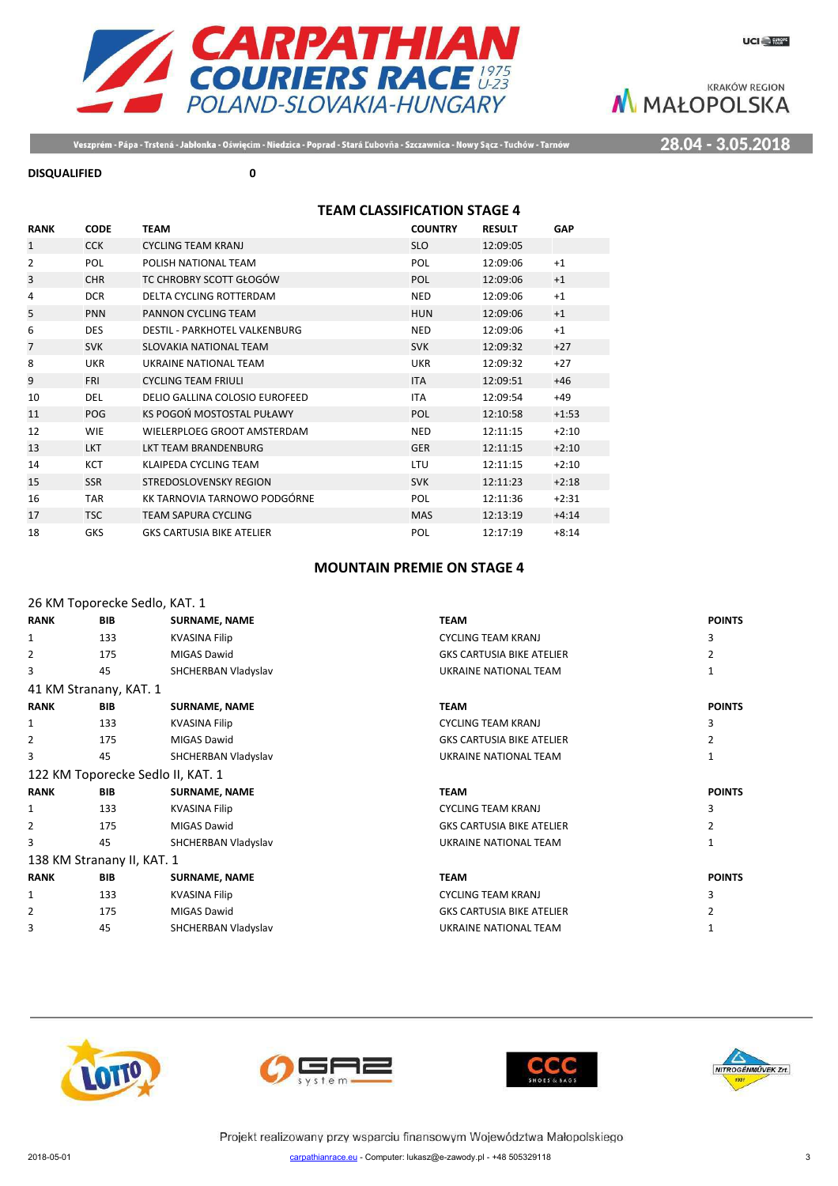

28.04 - 3.05.2018

Veszprém - Pápa - Trstená - Jabłonka - Oświęcim - Niedzica - Poprad - Stará Ľubovňa - Szczawnica - Nowy Sącz - Tuchów - Tarnów

#### **DISQUALIFIED 0**

# **TEAM CLASSIFICATION STAGE 4**

| <b>RANK</b>    | <b>CODE</b> | <b>TEAM</b>                          | <b>COUNTRY</b> | <b>RESULT</b> | <b>GAP</b> |
|----------------|-------------|--------------------------------------|----------------|---------------|------------|
| $\mathbf{1}$   | <b>CCK</b>  | <b>CYCLING TEAM KRANJ</b>            | <b>SLO</b>     | 12:09:05      |            |
| 2              | <b>POL</b>  | POLISH NATIONAL TEAM                 | POL            | 12:09:06      | $+1$       |
| 3              | <b>CHR</b>  | TC CHROBRY SCOTT GŁOGÓW              | POL            | 12:09:06      | $+1$       |
| 4              | <b>DCR</b>  | DELTA CYCLING ROTTERDAM              | <b>NED</b>     | 12:09:06      | $+1$       |
| 5              | <b>PNN</b>  | PANNON CYCLING TEAM                  | <b>HUN</b>     | 12:09:06      | $+1$       |
| 6              | <b>DES</b>  | <b>DESTIL - PARKHOTEL VALKENBURG</b> | <b>NED</b>     | 12:09:06      | $+1$       |
| $\overline{7}$ | <b>SVK</b>  | SLOVAKIA NATIONAL TEAM               | <b>SVK</b>     | 12:09:32      | $+27$      |
| 8              | <b>UKR</b>  | UKRAINE NATIONAL TEAM                | UKR            | 12:09:32      | $+27$      |
| 9              | <b>FRI</b>  | <b>CYCLING TEAM FRIULI</b>           | <b>ITA</b>     | 12:09:51      | $+46$      |
| 10             | <b>DEL</b>  | DELIO GALLINA COLOSIO EUROFEED       | <b>ITA</b>     | 12:09:54      | $+49$      |
| 11             | <b>POG</b>  | KS POGOŃ MOSTOSTAL PUŁAWY            | <b>POL</b>     | 12:10:58      | $+1:53$    |
| 12             | <b>WIE</b>  | WIELERPLOEG GROOT AMSTERDAM          | <b>NED</b>     | 12:11:15      | $+2:10$    |
| 13             | <b>LKT</b>  | <b>LKT TEAM BRANDENBURG</b>          | <b>GER</b>     | 12:11:15      | $+2:10$    |
| 14             | <b>KCT</b>  | KLAIPEDA CYCLING TEAM                | LTU            | 12:11:15      | $+2:10$    |
| 15             | <b>SSR</b>  | <b>STREDOSLOVENSKY REGION</b>        | <b>SVK</b>     | 12:11:23      | $+2:18$    |
| 16             | <b>TAR</b>  | KK TARNOVIA TARNOWO PODGÓRNE         | POL            | 12:11:36      | $+2:31$    |
| 17             | <b>TSC</b>  | <b>TEAM SAPURA CYCLING</b>           | <b>MAS</b>     | 12:13:19      | $+4:14$    |
| 18             | <b>GKS</b>  | <b>GKS CARTUSIA BIKE ATELIER</b>     | POL            | 12:17:19      | $+8:14$    |

### **MOUNTAIN PREMIE ON STAGE 4**

|              |                            | 26 KM Toporecke Sedlo, KAT. 1     |                                  |               |
|--------------|----------------------------|-----------------------------------|----------------------------------|---------------|
| <b>RANK</b>  | <b>BIB</b>                 | <b>SURNAME, NAME</b>              | <b>TEAM</b>                      | <b>POINTS</b> |
| 1            | 133                        | <b>KVASINA Filip</b>              | <b>CYCLING TEAM KRANJ</b>        | 3             |
| 2            | 175                        | <b>MIGAS Dawid</b>                | <b>GKS CARTUSIA BIKE ATELIER</b> | 2             |
| 3            | 45                         | SHCHERBAN Vladyslav               | UKRAINE NATIONAL TEAM            | 1             |
|              | 41 KM Stranany, KAT. 1     |                                   |                                  |               |
| <b>RANK</b>  | <b>BIB</b>                 | <b>SURNAME, NAME</b>              | <b>TEAM</b>                      | <b>POINTS</b> |
| $\mathbf{1}$ | 133                        | <b>KVASINA Filip</b>              | <b>CYCLING TEAM KRANJ</b>        | 3             |
| 2            | 175                        | MIGAS Dawid                       | <b>GKS CARTUSIA BIKE ATELIER</b> | 2             |
| 3            | 45                         | SHCHERBAN Vladyslav               | UKRAINE NATIONAL TEAM            |               |
|              |                            | 122 KM Toporecke Sedlo II, KAT. 1 |                                  |               |
| <b>RANK</b>  | <b>BIB</b>                 | <b>SURNAME, NAME</b>              | <b>TEAM</b>                      | <b>POINTS</b> |
| 1            | 133                        | <b>KVASINA Filip</b>              | <b>CYCLING TEAM KRANJ</b>        | 3             |
| 2            | 175                        | <b>MIGAS Dawid</b>                | <b>GKS CARTUSIA BIKE ATELIER</b> |               |
| 3            | 45                         | SHCHERBAN Vladyslav               | UKRAINE NATIONAL TEAM            |               |
|              | 138 KM Stranany II, KAT. 1 |                                   |                                  |               |
| <b>RANK</b>  | <b>BIB</b>                 | <b>SURNAME, NAME</b>              | <b>TEAM</b>                      | <b>POINTS</b> |
| 1            | 133                        | KVASINA Filip                     | <b>CYCLING TEAM KRANJ</b>        |               |
| 2            | 175                        | MIGAS Dawid                       | <b>GKS CARTUSIA BIKE ATELIER</b> |               |
| 3            | 45                         | SHCHERBAN Vladyslav               | UKRAINE NATIONAL TEAM            |               |
|              |                            |                                   |                                  |               |







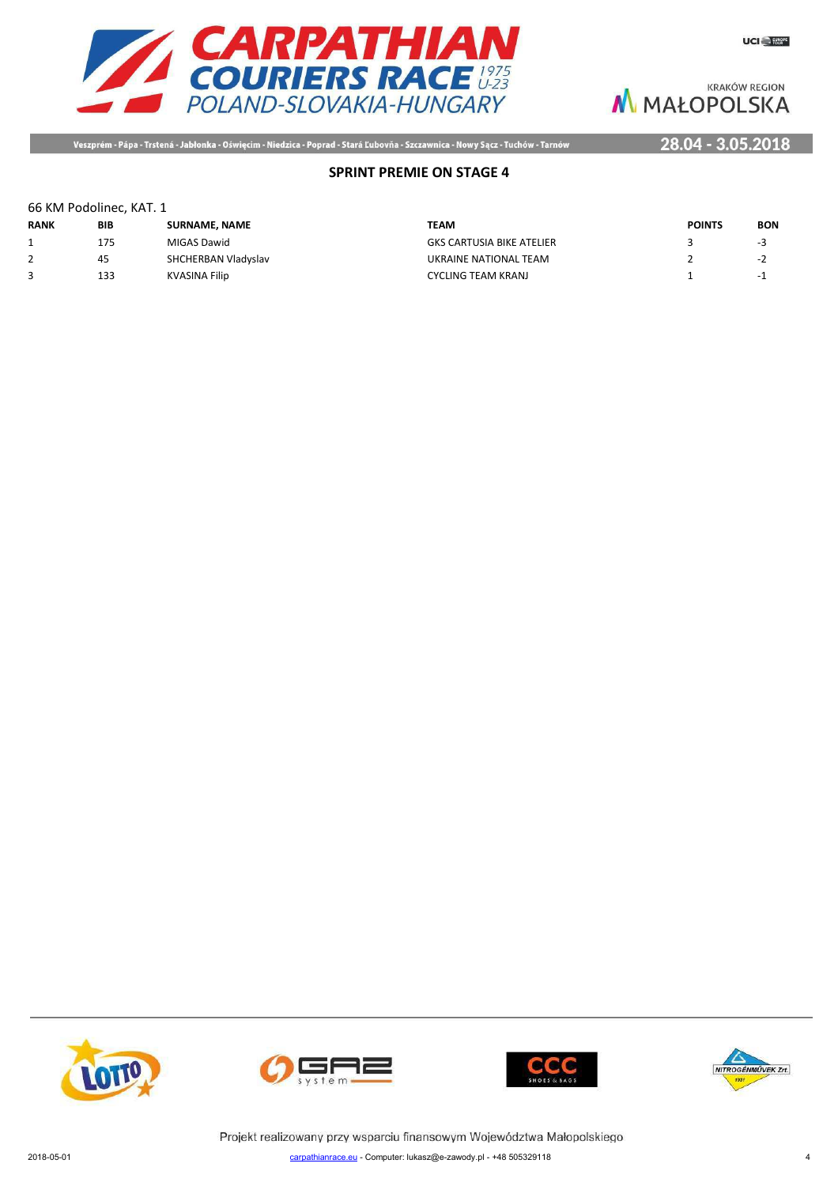

Veszprém - Pápa - Trstená - Jabłonka - Oświęcim - Niedzica - Poprad - Stará Ľubovňa - Szczawnica - Nowy Sącz - Tuchów - Tarnów

# 28.04 - 3.05.2018

# **SPRINT PREMIE ON STAGE 4**

### 66 KM Podolinec, KAT. 1

| <b>RANK</b> | <b>BIB</b> | <b>SURNAME, NAME</b> | ΤΕΛΜ                             | <b>POINTS</b> | <b>BON</b>               |
|-------------|------------|----------------------|----------------------------------|---------------|--------------------------|
|             | 175        | MIGAS Dawid          | <b>GKS CARTUSIA BIKE ATELIER</b> |               | -3                       |
| ∠           | 45         | SHCHERBAN Vladyslav  | UKRAINE NATIONAL TEAM            |               | $\overline{\phantom{a}}$ |
|             | 133        | KVASINA Filip        | CYCLING TEAM KRANJ               |               | - 1                      |









Projekt realizowany przy wsparciu finansowym Województwa Małopolskiego 2018-05-01 carpathianrace.eu - Computer: lukasz@e-zawody.pl - +48 505329118 4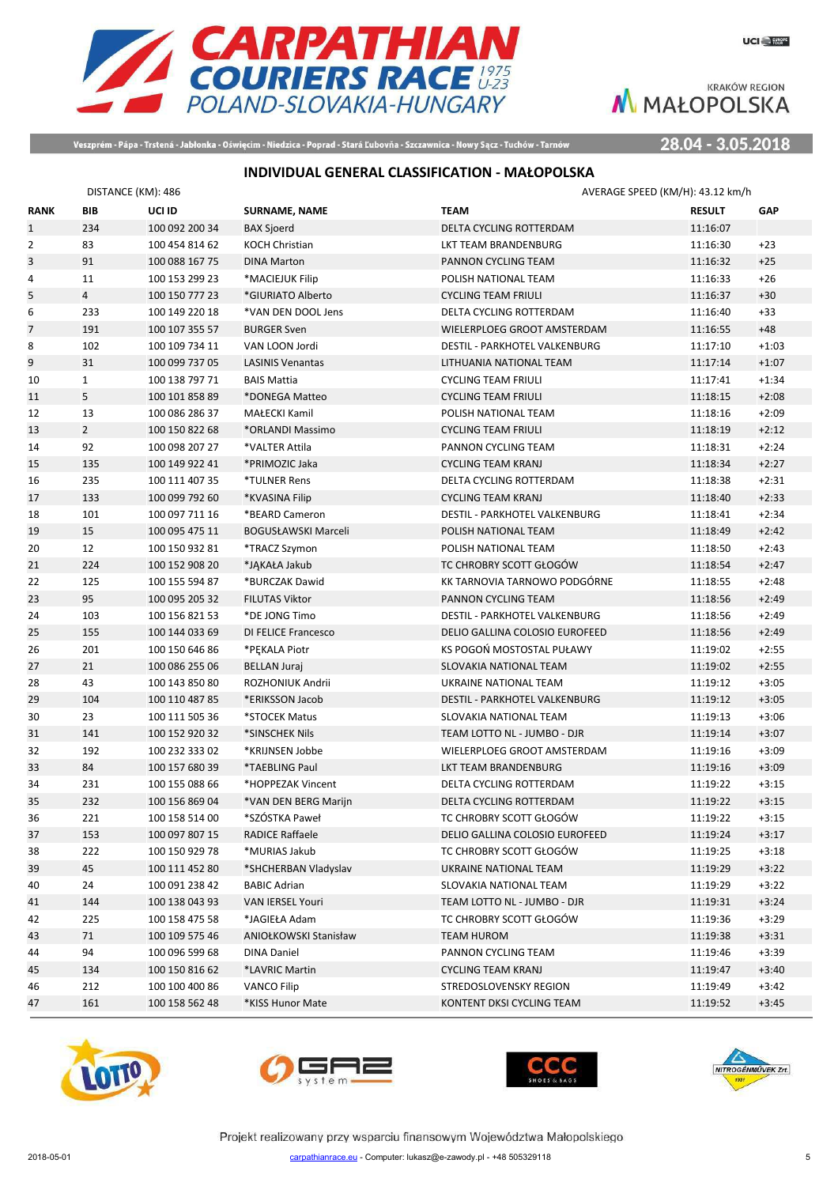

Veszprém - Pápa - Trstená - Jabłonka - Oświęcim - Niedzica - Poprad - Stará Ľubovňa - Szczawnica - Nowy Sącz - Tuchów - Tarnów

28.04 - 3.05.2018

# **INDIVIDUAL GENERAL CLASSIFICATION - MAŁOPOLSKA**

|                | DISTANCE (KM): 486 |                |                            | AVERAGE SPEED (KM/H): 43.12 km/h |               |            |
|----------------|--------------------|----------------|----------------------------|----------------------------------|---------------|------------|
| <b>RANK</b>    | BIB                | UCI ID         | SURNAME, NAME              | <b>TEAM</b>                      | <b>RESULT</b> | <b>GAP</b> |
| $\mathbf{1}$   | 234                | 100 092 200 34 | <b>BAX Sjoerd</b>          | DELTA CYCLING ROTTERDAM          | 11:16:07      |            |
| $\overline{2}$ | 83                 | 100 454 814 62 | <b>KOCH Christian</b>      | LKT TEAM BRANDENBURG             | 11:16:30      | $+23$      |
| $\mathsf{3}$   | 91                 | 100 088 167 75 | <b>DINA Marton</b>         | PANNON CYCLING TEAM              | 11:16:32      | $+25$      |
| 4              | 11                 | 100 153 299 23 | *MACIEJUK Filip            | POLISH NATIONAL TEAM             | 11:16:33      | $+26$      |
| 5              | $\overline{4}$     | 100 150 777 23 | *GIURIATO Alberto          | <b>CYCLING TEAM FRIULI</b>       | 11:16:37      | $+30$      |
| 6              | 233                | 100 149 220 18 | *VAN DEN DOOL Jens         | DELTA CYCLING ROTTERDAM          | 11:16:40      | $+33$      |
| $\overline{7}$ | 191                | 100 107 355 57 | <b>BURGER Sven</b>         | WIELERPLOEG GROOT AMSTERDAM      | 11:16:55      | $+48$      |
| 8              | 102                | 100 109 734 11 | VAN LOON Jordi             | DESTIL - PARKHOTEL VALKENBURG    | 11:17:10      | $+1:03$    |
| 9              | 31                 | 100 099 737 05 | <b>LASINIS Venantas</b>    | LITHUANIA NATIONAL TEAM          | 11:17:14      | $+1:07$    |
| 10             | $\mathbf{1}$       | 100 138 797 71 | <b>BAIS Mattia</b>         | <b>CYCLING TEAM FRIULI</b>       | 11:17:41      | $+1:34$    |
| 11             | 5                  | 100 101 858 89 | *DONEGA Matteo             | <b>CYCLING TEAM FRIULI</b>       | 11:18:15      | $+2:08$    |
| 12             | 13                 | 100 086 286 37 | MAŁECKI Kamil              | POLISH NATIONAL TEAM             | 11:18:16      | $+2:09$    |
| 13             | $\overline{2}$     | 100 150 822 68 | *ORLANDI Massimo           | <b>CYCLING TEAM FRIULI</b>       | 11:18:19      | $+2:12$    |
| 14             | 92                 | 100 098 207 27 | *VALTER Attila             | PANNON CYCLING TEAM              | 11:18:31      | $+2:24$    |
| 15             | 135                | 100 149 922 41 | *PRIMOZIC Jaka             | <b>CYCLING TEAM KRANJ</b>        | 11:18:34      | $+2:27$    |
| 16             | 235                | 100 111 407 35 | *TULNER Rens               | DELTA CYCLING ROTTERDAM          | 11:18:38      | $+2:31$    |
| 17             | 133                | 100 099 792 60 | *KVASINA Filip             | <b>CYCLING TEAM KRANJ</b>        | 11:18:40      | $+2:33$    |
| 18             | 101                | 100 097 711 16 | *BEARD Cameron             | DESTIL - PARKHOTEL VALKENBURG    | 11:18:41      | $+2:34$    |
| 19             | 15                 | 100 095 475 11 | <b>BOGUSŁAWSKI Marceli</b> | POLISH NATIONAL TEAM             | 11:18:49      | $+2:42$    |
| 20             | 12                 | 100 150 932 81 | *TRACZ Szymon              | POLISH NATIONAL TEAM             | 11:18:50      | $+2:43$    |
| 21             | 224                | 100 152 908 20 | *JAKAŁA Jakub              | TC CHROBRY SCOTT GŁOGÓW          | 11:18:54      | $+2:47$    |
| 22             | 125                | 100 155 594 87 | *BURCZAK Dawid             | KK TARNOVIA TARNOWO PODGÓRNE     | 11:18:55      | $+2:48$    |
| 23             | 95                 | 100 095 205 32 | <b>FILUTAS Viktor</b>      | PANNON CYCLING TEAM              | 11:18:56      | $+2:49$    |
| 24             | 103                | 100 156 821 53 | *DE JONG Timo              | DESTIL - PARKHOTEL VALKENBURG    | 11:18:56      | $+2:49$    |
| 25             | 155                | 100 144 033 69 | DI FELICE Francesco        | DELIO GALLINA COLOSIO EUROFEED   | 11:18:56      | $+2:49$    |
| 26             | 201                | 100 150 646 86 | *PEKALA Piotr              | KS POGOŃ MOSTOSTAL PUŁAWY        | 11:19:02      | $+2:55$    |
| 27             | 21                 | 100 086 255 06 | <b>BELLAN Juraj</b>        | SLOVAKIA NATIONAL TEAM           | 11:19:02      | $+2:55$    |
| 28             | 43                 | 100 143 850 80 | ROZHONIUK Andrii           | UKRAINE NATIONAL TEAM            | 11:19:12      | $+3:05$    |
| 29             | 104                | 100 110 487 85 | *ERIKSSON Jacob            | DESTIL - PARKHOTEL VALKENBURG    | 11:19:12      | $+3:05$    |
| 30             | 23                 | 100 111 505 36 | *STOCEK Matus              | SLOVAKIA NATIONAL TEAM           | 11:19:13      | $+3:06$    |
| 31             | 141                | 100 152 920 32 | *SINSCHEK Nils             | TEAM LOTTO NL - JUMBO - DJR      | 11:19:14      | $+3:07$    |
| 32             | 192                | 100 232 333 02 | *KRIJNSEN Jobbe            | WIELERPLOEG GROOT AMSTERDAM      | 11:19:16      | $+3:09$    |
| 33             | 84                 | 100 157 680 39 | *TAEBLING Paul             | LKT TEAM BRANDENBURG             | 11:19:16      | $+3:09$    |
| 34             | 231                | 100 155 088 66 | *HOPPEZAK Vincent          | DELTA CYCLING ROTTERDAM          | 11:19:22      | $+3:15$    |
| 35             | 232                | 100 156 869 04 | *VAN DEN BERG Marijn       | <b>DELTA CYCLING ROTTERDAM</b>   | 11:19:22      | $+3:15$    |
| 36             | 221                | 100 158 514 00 | *SZÓSTKA Paweł             | TC CHROBRY SCOTT GŁOGÓW          | 11:19:22      | $+3:15$    |
| 37             | 153                | 100 097 807 15 | RADICE Raffaele            | DELIO GALLINA COLOSIO EUROFEED   | 11:19:24      | $+3:17$    |
| 38             | 222                | 100 150 929 78 | *MURIAS Jakub              | TC CHROBRY SCOTT GŁOGÓW          | 11:19:25      | $+3:18$    |
| 39             | 45                 | 100 111 452 80 | *SHCHERBAN Vladyslav       | UKRAINE NATIONAL TEAM            | 11:19:29      | $+3:22$    |
| 40             | 24                 | 100 091 238 42 | <b>BABIC Adrian</b>        | SLOVAKIA NATIONAL TEAM           | 11:19:29      | $+3:22$    |
| 41             | 144                | 100 138 043 93 | VAN IERSEL Youri           | TEAM LOTTO NL - JUMBO - DJR      | 11:19:31      | $+3:24$    |
| 42             | 225                | 100 158 475 58 | *JAGIEŁA Adam              | TC CHROBRY SCOTT GŁOGÓW          | 11:19:36      | $+3:29$    |
| 43             | 71                 | 100 109 575 46 | ANIOŁKOWSKI Stanisław      | TEAM HUROM                       | 11:19:38      | $+3:31$    |
| 44             | 94                 | 100 096 599 68 | <b>DINA Daniel</b>         | PANNON CYCLING TEAM              | 11:19:46      | $+3:39$    |
| 45             | 134                | 100 150 816 62 | *LAVRIC Martin             | <b>CYCLING TEAM KRANJ</b>        | 11:19:47      | $+3:40$    |
| 46             | 212                | 100 100 400 86 | <b>VANCO Filip</b>         | STREDOSLOVENSKY REGION           | 11:19:49      | $+3:42$    |
| 47             | 161                | 100 158 562 48 | *KISS Hunor Mate           | KONTENT DKSI CYCLING TEAM        | 11:19:52      | $+3:45$    |









Projekt realizowany przy wsparciu finansowym Województwa Małopolskiego 2018-05-01 carpathianrace.eu - Computer: lukasz@e-zawody.pl - +48 505329118 5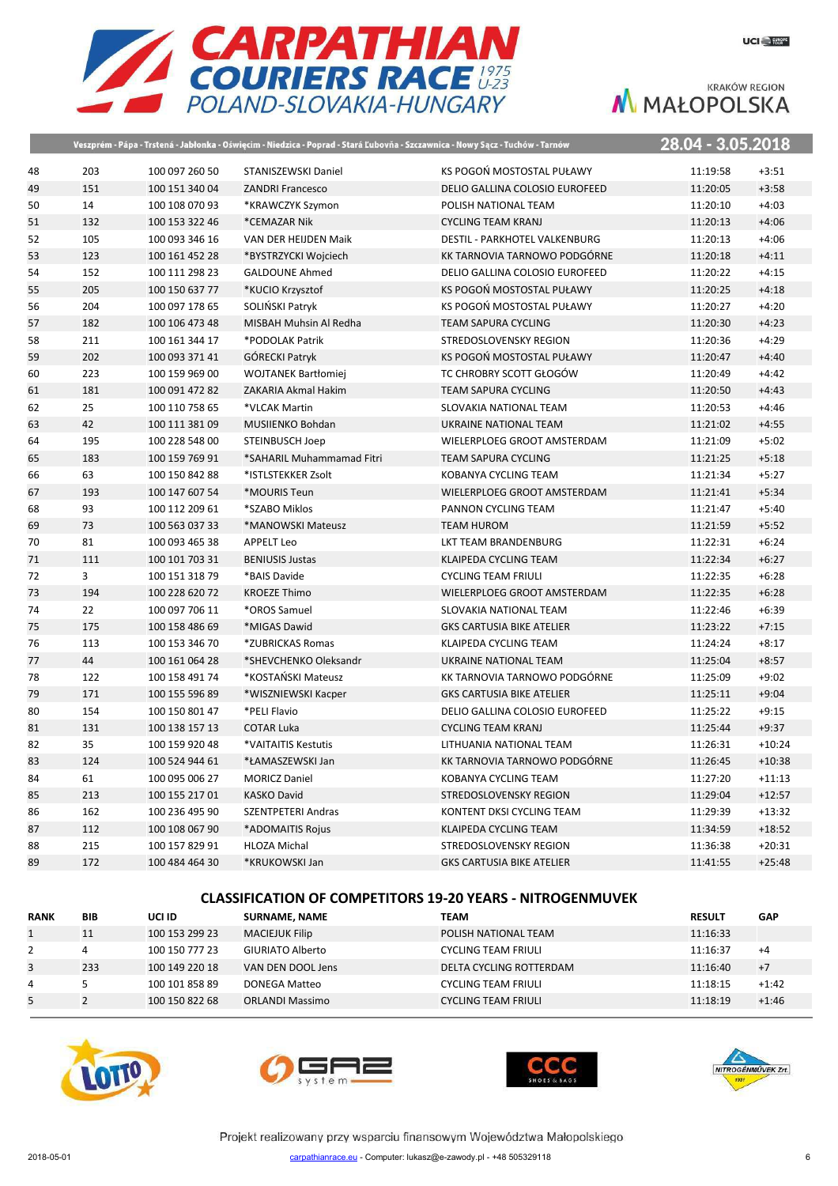

|    |                |                | Veszprém - Pápa - Trstená - Jabłonka - Oświęcim - Niedzica - Poprad - Stará Ľubovňa - Szczawnica - Nowy Sącz - Tuchów - Tarnów |                                  | 28.04 - 3.05.2018 |          |
|----|----------------|----------------|--------------------------------------------------------------------------------------------------------------------------------|----------------------------------|-------------------|----------|
| 48 | 203            | 100 097 260 50 | STANISZEWSKI Daniel                                                                                                            | KS POGOŃ MOSTOSTAL PUŁAWY        | 11:19:58          | $+3:51$  |
| 49 | 151            | 100 151 340 04 | <b>ZANDRI Francesco</b>                                                                                                        | DELIO GALLINA COLOSIO EUROFEED   | 11:20:05          | $+3:58$  |
| 50 | 14             | 100 108 070 93 | *KRAWCZYK Szymon                                                                                                               | POLISH NATIONAL TEAM             | 11:20:10          | $+4:03$  |
| 51 | 132            | 100 153 322 46 | *CEMAZAR Nik                                                                                                                   | <b>CYCLING TEAM KRANJ</b>        | 11:20:13          | $+4:06$  |
| 52 | 105            | 100 093 346 16 | VAN DER HEIJDEN Maik                                                                                                           | DESTIL - PARKHOTEL VALKENBURG    | 11:20:13          | $+4:06$  |
| 53 | 123            | 100 161 452 28 | *BYSTRZYCKI Wojciech                                                                                                           | KK TARNOVIA TARNOWO PODGÓRNE     | 11:20:18          | $+4:11$  |
| 54 | 152            | 100 111 298 23 | <b>GALDOUNE Ahmed</b>                                                                                                          | DELIO GALLINA COLOSIO EUROFEED   | 11:20:22          | $+4:15$  |
| 55 | 205            | 100 150 637 77 | *KUCIO Krzysztof                                                                                                               | KS POGOŃ MOSTOSTAL PUŁAWY        | 11:20:25          | $+4:18$  |
| 56 | 204            | 100 097 178 65 | SOLIŃSKI Patryk                                                                                                                | KS POGOŃ MOSTOSTAL PUŁAWY        | 11:20:27          | $+4:20$  |
| 57 | 182            | 100 106 473 48 | MISBAH Muhsin Al Redha                                                                                                         | <b>TEAM SAPURA CYCLING</b>       | 11:20:30          | $+4:23$  |
| 58 | 211            | 100 161 344 17 | *PODOLAK Patrik                                                                                                                | STREDOSLOVENSKY REGION           | 11:20:36          | $+4:29$  |
| 59 | 202            | 100 093 371 41 | <b>GÓRECKI Patryk</b>                                                                                                          | KS POGOŃ MOSTOSTAL PUŁAWY        | 11:20:47          | $+4:40$  |
| 60 | 223            | 100 159 969 00 | <b>WOJTANEK Bartłomiej</b>                                                                                                     | TC CHROBRY SCOTT GŁOGÓW          | 11:20:49          | $+4:42$  |
| 61 | 181            | 100 091 472 82 | ZAKARIA Akmal Hakim                                                                                                            | <b>TEAM SAPURA CYCLING</b>       | 11:20:50          | $+4:43$  |
| 62 | 25             | 100 110 758 65 | *VLCAK Martin                                                                                                                  | SLOVAKIA NATIONAL TEAM           | 11:20:53          | $+4:46$  |
| 63 | 42             | 100 111 381 09 | MUSIIENKO Bohdan                                                                                                               | UKRAINE NATIONAL TEAM            | 11:21:02          | $+4:55$  |
| 64 | 195            | 100 228 548 00 | STEINBUSCH Joep                                                                                                                | WIELERPLOEG GROOT AMSTERDAM      | 11:21:09          | $+5:02$  |
| 65 | 183            | 100 159 769 91 | *SAHARIL Muhammamad Fitri                                                                                                      | <b>TEAM SAPURA CYCLING</b>       | 11:21:25          | $+5:18$  |
| 66 | 63             | 100 150 842 88 | *ISTLSTEKKER Zsolt                                                                                                             | KOBANYA CYCLING TEAM             | 11:21:34          | $+5:27$  |
| 67 | 193            | 100 147 607 54 | *MOURIS Teun                                                                                                                   | WIELERPLOEG GROOT AMSTERDAM      | 11:21:41          | $+5:34$  |
| 68 | 93             | 100 112 209 61 | *SZABO Miklos                                                                                                                  | PANNON CYCLING TEAM              | 11:21:47          | $+5:40$  |
| 69 | 73             | 100 563 037 33 | *MANOWSKI Mateusz                                                                                                              | <b>TEAM HUROM</b>                | 11:21:59          | $+5:52$  |
| 70 | 81             | 100 093 465 38 | <b>APPELT Leo</b>                                                                                                              | LKT TEAM BRANDENBURG             | 11:22:31          | $+6:24$  |
| 71 | 111            | 100 101 703 31 | <b>BENIUSIS Justas</b>                                                                                                         | KLAIPEDA CYCLING TEAM            | 11:22:34          | $+6:27$  |
| 72 | $\overline{3}$ | 100 151 318 79 | *BAIS Davide                                                                                                                   | <b>CYCLING TEAM FRIULI</b>       | 11:22:35          | $+6:28$  |
| 73 | 194            | 100 228 620 72 | <b>KROEZE Thimo</b>                                                                                                            | WIELERPLOEG GROOT AMSTERDAM      | 11:22:35          | $+6:28$  |
| 74 | 22             | 100 097 706 11 | *OROS Samuel                                                                                                                   | SLOVAKIA NATIONAL TEAM           | 11:22:46          | $+6:39$  |
| 75 | 175            | 100 158 486 69 | *MIGAS Dawid                                                                                                                   | <b>GKS CARTUSIA BIKE ATELIER</b> | 11:23:22          | $+7:15$  |
| 76 | 113            | 100 153 346 70 | *ZUBRICKAS Romas                                                                                                               | KLAIPEDA CYCLING TEAM            | 11:24:24          | $+8:17$  |
| 77 | 44             | 100 161 064 28 | *SHEVCHENKO Oleksandr                                                                                                          | UKRAINE NATIONAL TEAM            | 11:25:04          | $+8:57$  |
| 78 | 122            | 100 158 491 74 | *KOSTAŃSKI Mateusz                                                                                                             | KK TARNOVIA TARNOWO PODGÓRNE     | 11:25:09          | $+9:02$  |
| 79 | 171            | 100 155 596 89 | *WISZNIEWSKI Kacper                                                                                                            | <b>GKS CARTUSIA BIKE ATELIER</b> | 11:25:11          | $+9:04$  |
| 80 | 154            | 100 150 801 47 | *PELI Flavio                                                                                                                   | DELIO GALLINA COLOSIO EUROFEED   | 11:25:22          | $+9:15$  |
| 81 | 131            | 100 138 157 13 | <b>COTAR Luka</b>                                                                                                              | <b>CYCLING TEAM KRANJ</b>        | 11:25:44          | $+9:37$  |
| 82 | 35             | 100 159 920 48 | *VAITAITIS Kestutis                                                                                                            | LITHUANIA NATIONAL TEAM          | 11:26:31          | $+10:24$ |
| 83 | 124            | 100 524 944 61 | *ŁAMASZEWSKI Jan                                                                                                               | KK TARNOVIA TARNOWO PODGÓRNE     | 11:26:45          | $+10:38$ |
| 84 | 61             | 100 095 006 27 | <b>MORICZ Daniel</b>                                                                                                           | KOBANYA CYCLING TEAM             | 11:27:20          | $+11:13$ |
| 85 | 213            | 100 155 217 01 | <b>KASKO David</b>                                                                                                             | <b>STREDOSLOVENSKY REGION</b>    | 11:29:04          | $+12:57$ |
| 86 | 162            | 100 236 495 90 | <b>SZENTPETERI Andras</b>                                                                                                      | KONTENT DKSI CYCLING TEAM        | 11:29:39          | $+13:32$ |
| 87 | 112            | 100 108 067 90 | *ADOMAITIS Rojus                                                                                                               | KLAIPEDA CYCLING TEAM            | 11:34:59          | $+18:52$ |
| 88 | 215            | 100 157 829 91 | <b>HLOZA Michal</b>                                                                                                            | <b>STREDOSLOVENSKY REGION</b>    | 11:36:38          | $+20:31$ |
| 89 | 172            | 100 484 464 30 | *KRUKOWSKI Jan                                                                                                                 | <b>GKS CARTUSIA BIKE ATELIER</b> | 11:41:55          | $+25:48$ |

#### **CLASSIFICATION OF COMPETITORS 19-20 YEARS - NITROGENMUVEK**

| <b>RANK</b> | <b>BIB</b> | UCI ID         | <b>SURNAME, NAME</b>   | <b>TEAM</b>                | <b>RESULT</b> | <b>GAP</b> |
|-------------|------------|----------------|------------------------|----------------------------|---------------|------------|
|             | 11         | 100 153 299 23 | <b>MACIEJUK Filip</b>  | POLISH NATIONAL TEAM       | 11:16:33      |            |
|             |            | 100 150 777 23 | GIURIATO Alberto       | <b>CYCLING TEAM FRIULI</b> | 11:16:37      | $+4$       |
| 3           | 233        | 100 149 220 18 | VAN DEN DOOL Jens      | DELTA CYCLING ROTTERDAM    | 11:16:40      | $+7$       |
| 4           |            | 100 101 858 89 | DONEGA Matteo          | <b>CYCLING TEAM FRIULI</b> | 11:18:15      | $+1:42$    |
| 5           |            | 100 150 822 68 | <b>ORLANDI Massimo</b> | <b>CYCLING TEAM FRIULI</b> | 11:18:19      | $+1:46$    |







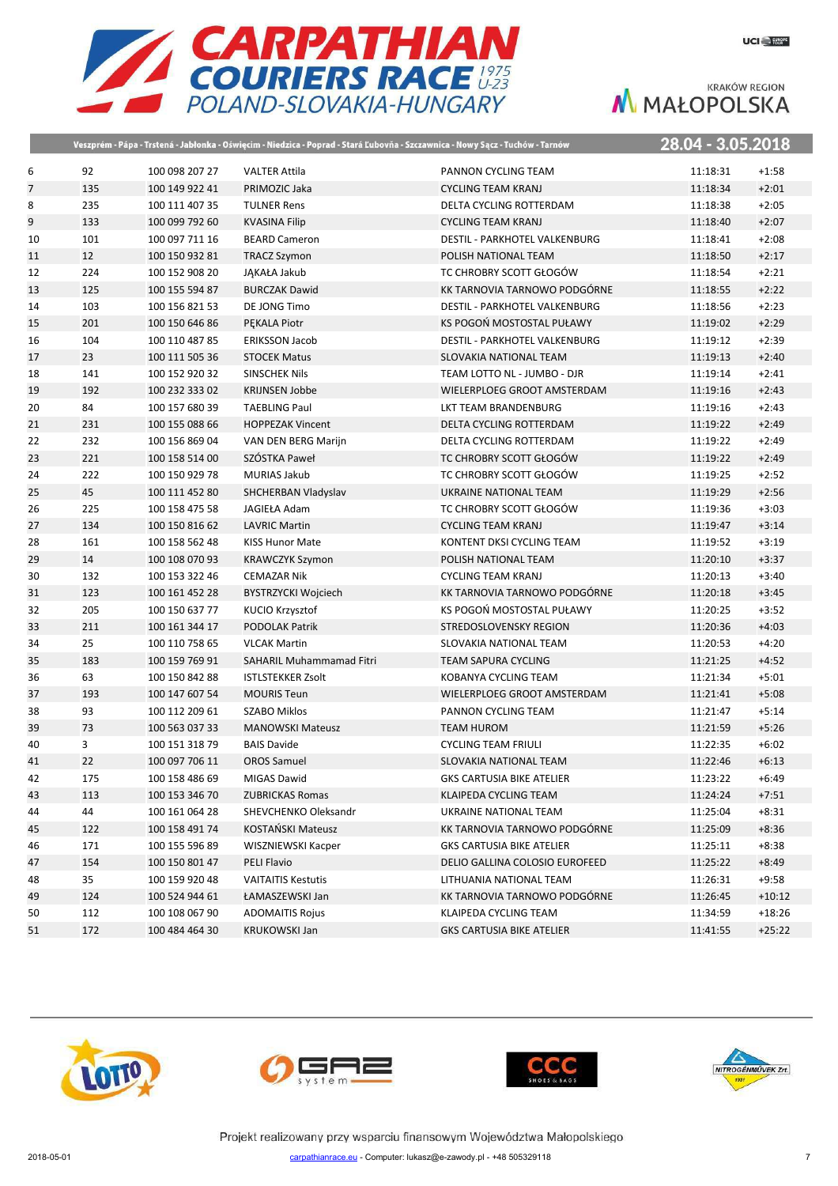

|    |     |                | Veszprém - Pápa - Trstená - Jabłonka - Oświęcim - Niedzica - Poprad - Stará Ľubovňa - Szczawnica - Nowy Sącz - Tuchów - Tarnów |                                      | 28.04 - 3.05.2018 |          |
|----|-----|----------------|--------------------------------------------------------------------------------------------------------------------------------|--------------------------------------|-------------------|----------|
| 6  | 92  | 100 098 207 27 | <b>VALTER Attila</b>                                                                                                           | PANNON CYCLING TEAM                  | 11:18:31          | $+1:58$  |
| 7  | 135 | 100 149 922 41 | PRIMOZIC Jaka                                                                                                                  | <b>CYCLING TEAM KRANJ</b>            | 11:18:34          | $+2:01$  |
| 8  | 235 | 100 111 407 35 | <b>TULNER Rens</b>                                                                                                             | DELTA CYCLING ROTTERDAM              | 11:18:38          | $+2:05$  |
| 9  | 133 | 100 099 792 60 | <b>KVASINA Filip</b>                                                                                                           | <b>CYCLING TEAM KRANJ</b>            | 11:18:40          | $+2:07$  |
| 10 | 101 | 100 097 711 16 | <b>BEARD Cameron</b>                                                                                                           | <b>DESTIL - PARKHOTEL VALKENBURG</b> | 11:18:41          | $+2:08$  |
| 11 | 12  | 100 150 932 81 | <b>TRACZ Szymon</b>                                                                                                            | POLISH NATIONAL TEAM                 | 11:18:50          | $+2:17$  |
| 12 | 224 | 100 152 908 20 | JAKAŁA Jakub                                                                                                                   | TC CHROBRY SCOTT GŁOGÓW              | 11:18:54          | $+2:21$  |
| 13 | 125 | 100 155 594 87 | <b>BURCZAK Dawid</b>                                                                                                           | KK TARNOVIA TARNOWO PODGÓRNE         | 11:18:55          | $+2:22$  |
| 14 | 103 | 100 156 821 53 | DE JONG Timo                                                                                                                   | <b>DESTIL - PARKHOTEL VALKENBURG</b> | 11:18:56          | $+2:23$  |
| 15 | 201 | 100 150 646 86 | PEKALA Piotr                                                                                                                   | KS POGOŃ MOSTOSTAL PUŁAWY            | 11:19:02          | $+2:29$  |
| 16 | 104 | 100 110 487 85 | <b>ERIKSSON Jacob</b>                                                                                                          | DESTIL - PARKHOTEL VALKENBURG        | 11:19:12          | $+2:39$  |
| 17 | 23  | 100 111 505 36 | <b>STOCEK Matus</b>                                                                                                            | SLOVAKIA NATIONAL TEAM               | 11:19:13          | $+2:40$  |
| 18 | 141 | 100 152 920 32 | <b>SINSCHEK Nils</b>                                                                                                           | TEAM LOTTO NL - JUMBO - DJR          | 11:19:14          | $+2:41$  |
| 19 | 192 | 100 232 333 02 | <b>KRIJNSEN Jobbe</b>                                                                                                          | WIELERPLOEG GROOT AMSTERDAM          | 11:19:16          | $+2:43$  |
| 20 | 84  | 100 157 680 39 | <b>TAEBLING Paul</b>                                                                                                           | LKT TEAM BRANDENBURG                 | 11:19:16          | $+2:43$  |
| 21 | 231 | 100 155 088 66 | <b>HOPPEZAK Vincent</b>                                                                                                        | DELTA CYCLING ROTTERDAM              | 11:19:22          | $+2:49$  |
| 22 | 232 | 100 156 869 04 | VAN DEN BERG Marijn                                                                                                            | DELTA CYCLING ROTTERDAM              | 11:19:22          | $+2:49$  |
| 23 | 221 | 100 158 514 00 | SZÓSTKA Paweł                                                                                                                  | TC CHROBRY SCOTT GŁOGÓW              | 11:19:22          | $+2:49$  |
| 24 | 222 | 100 150 929 78 | <b>MURIAS Jakub</b>                                                                                                            | TC CHROBRY SCOTT GŁOGÓW              | 11:19:25          | $+2:52$  |
| 25 | 45  | 100 111 452 80 | SHCHERBAN Vladyslav                                                                                                            | UKRAINE NATIONAL TEAM                | 11:19:29          | $+2:56$  |
| 26 | 225 | 100 158 475 58 | JAGIEŁA Adam                                                                                                                   | TC CHROBRY SCOTT GŁOGÓW              | 11:19:36          | $+3:03$  |
| 27 | 134 | 100 150 816 62 | <b>LAVRIC Martin</b>                                                                                                           | <b>CYCLING TEAM KRANJ</b>            | 11:19:47          | $+3:14$  |
| 28 | 161 | 100 158 562 48 | <b>KISS Hunor Mate</b>                                                                                                         | KONTENT DKSI CYCLING TEAM            | 11:19:52          | $+3:19$  |
| 29 | 14  | 100 108 070 93 | <b>KRAWCZYK Szymon</b>                                                                                                         | POLISH NATIONAL TEAM                 | 11:20:10          | $+3:37$  |
| 30 | 132 | 100 153 322 46 | <b>CEMAZAR Nik</b>                                                                                                             | <b>CYCLING TEAM KRANJ</b>            | 11:20:13          | $+3:40$  |
| 31 | 123 | 100 161 452 28 | BYSTRZYCKI Wojciech                                                                                                            | KK TARNOVIA TARNOWO PODGÓRNE         | 11:20:18          | $+3:45$  |
| 32 | 205 | 100 150 637 77 | KUCIO Krzysztof                                                                                                                | KS POGOŃ MOSTOSTAL PUŁAWY            | 11:20:25          | $+3:52$  |
| 33 | 211 | 100 161 344 17 | <b>PODOLAK Patrik</b>                                                                                                          | STREDOSLOVENSKY REGION               | 11:20:36          | $+4:03$  |
| 34 | 25  | 100 110 758 65 | <b>VLCAK Martin</b>                                                                                                            | SLOVAKIA NATIONAL TEAM               | 11:20:53          | $+4:20$  |
| 35 | 183 | 100 159 769 91 | SAHARIL Muhammamad Fitri                                                                                                       | <b>TEAM SAPURA CYCLING</b>           | 11:21:25          | $+4:52$  |
| 36 | 63  | 100 150 842 88 | <b>ISTLSTEKKER Zsolt</b>                                                                                                       | KOBANYA CYCLING TEAM                 | 11:21:34          | $+5:01$  |
| 37 | 193 | 100 147 607 54 | <b>MOURIS Teun</b>                                                                                                             | WIELERPLOEG GROOT AMSTERDAM          | 11:21:41          | $+5:08$  |
| 38 | 93  | 100 112 209 61 | <b>SZABO Miklos</b>                                                                                                            | PANNON CYCLING TEAM                  | 11:21:47          | $+5:14$  |
| 39 | 73  | 100 563 037 33 | <b>MANOWSKI Mateusz</b>                                                                                                        | <b>TEAM HUROM</b>                    | 11:21:59          | $+5:26$  |
| 40 | 3   | 100 151 318 79 | <b>BAIS Davide</b>                                                                                                             | <b>CYCLING TEAM FRIULI</b>           | 11:22:35          | $+6:02$  |
| 41 | 22  | 100 097 706 11 | <b>OROS Samuel</b>                                                                                                             | SLOVAKIA NATIONAL TEAM               | 11:22:46          | $+6:13$  |
| 42 | 175 | 100 158 486 69 | MIGAS Dawid                                                                                                                    | <b>GKS CARTUSIA BIKE ATELIER</b>     | 11:23:22          | $+6:49$  |
| 43 | 113 | 100 153 346 70 | <b>ZUBRICKAS Romas</b>                                                                                                         | KLAIPEDA CYCLING TEAM                | 11:24:24          | $+7:51$  |
| 44 | 44  | 100 161 064 28 | SHEVCHENKO Oleksandr                                                                                                           | UKRAINE NATIONAL TEAM                | 11:25:04          | $+8:31$  |
| 45 | 122 | 100 158 491 74 | KOSTAŃSKI Mateusz                                                                                                              | KK TARNOVIA TARNOWO PODGÓRNE         | 11:25:09          | $+8:36$  |
| 46 | 171 | 100 155 596 89 | WISZNIEWSKI Kacper                                                                                                             | <b>GKS CARTUSIA BIKE ATELIER</b>     | 11:25:11          | $+8:38$  |
| 47 | 154 | 100 150 801 47 | PELI Flavio                                                                                                                    | DELIO GALLINA COLOSIO EUROFEED       | 11:25:22          | $+8:49$  |
| 48 | 35  | 100 159 920 48 | <b>VAITAITIS Kestutis</b>                                                                                                      | LITHUANIA NATIONAL TEAM              | 11:26:31          | $+9:58$  |
| 49 | 124 | 100 524 944 61 | ŁAMASZEWSKI Jan                                                                                                                | KK TARNOVIA TARNOWO PODGÓRNE         | 11:26:45          | $+10:12$ |
| 50 | 112 | 100 108 067 90 | <b>ADOMAITIS Rojus</b>                                                                                                         | KLAIPEDA CYCLING TEAM                | 11:34:59          | $+18:26$ |
| 51 | 172 | 100 484 464 30 | <b>KRUKOWSKI Jan</b>                                                                                                           | <b>GKS CARTUSIA BIKE ATELIER</b>     | 11:41:55          | $+25:22$ |







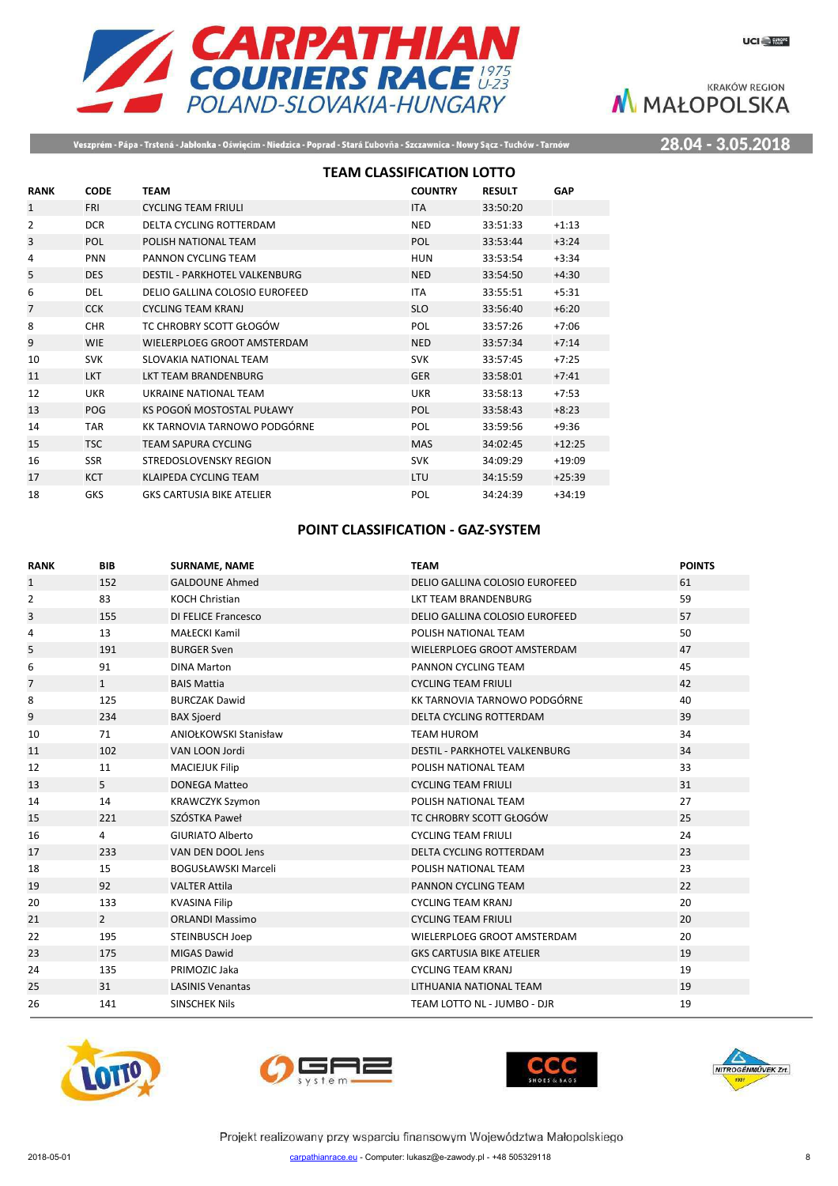

Veszprém - Pápa - Trstená - Jabłonka - Oświęcim - Niedzica - Poprad - Stará Ľubovňa - Szczawnica - Nowy Sącz - Tuchów - Tarnów

28.04 - 3.05.2018

|                |             | <b>TEAM CLASSIFICATION LOTTO</b>     |                |               |            |
|----------------|-------------|--------------------------------------|----------------|---------------|------------|
| <b>RANK</b>    | <b>CODE</b> | <b>TEAM</b>                          | <b>COUNTRY</b> | <b>RESULT</b> | <b>GAP</b> |
| $\mathbf{1}$   | <b>FRI</b>  | <b>CYCLING TEAM FRIULI</b>           | <b>ITA</b>     | 33:50:20      |            |
| $\overline{2}$ | <b>DCR</b>  | DELTA CYCLING ROTTERDAM              | <b>NED</b>     | 33:51:33      | $+1:13$    |
| 3              | POL         | POLISH NATIONAL TEAM                 | POL            | 33:53:44      | $+3:24$    |
| 4              | <b>PNN</b>  | PANNON CYCLING TEAM                  | HUN            | 33:53:54      | $+3:34$    |
| 5              | <b>DES</b>  | <b>DESTIL - PARKHOTEL VALKENBURG</b> | <b>NED</b>     | 33:54:50      | $+4:30$    |
| 6              | DEL         | DELIO GALLINA COLOSIO EUROFEED       | <b>ITA</b>     | 33:55:51      | $+5:31$    |
| 7              | <b>CCK</b>  | <b>CYCLING TEAM KRANJ</b>            | <b>SLO</b>     | 33:56:40      | $+6:20$    |
| 8              | <b>CHR</b>  | TC CHROBRY SCOTT GŁOGÓW              | POL            | 33:57:26      | $+7:06$    |
| 9              | <b>WIE</b>  | WIELERPLOEG GROOT AMSTERDAM          | <b>NED</b>     | 33:57:34      | $+7:14$    |
| 10             | <b>SVK</b>  | SLOVAKIA NATIONAL TEAM               | <b>SVK</b>     | 33:57:45      | $+7:25$    |
| 11             | <b>LKT</b>  | <b>LKT TEAM BRANDENBURG</b>          | <b>GER</b>     | 33:58:01      | $+7:41$    |
| 12             | <b>UKR</b>  | UKRAINE NATIONAL TEAM                | <b>UKR</b>     | 33:58:13      | $+7:53$    |
| 13             | POG         | KS POGOŃ MOSTOSTAL PUŁAWY            | POL            | 33:58:43      | $+8:23$    |
| 14             | <b>TAR</b>  | KK TARNOVIA TARNOWO PODGÓRNE         | POL            | 33:59:56      | $+9:36$    |
| 15             | <b>TSC</b>  | <b>TEAM SAPURA CYCLING</b>           | <b>MAS</b>     | 34:02:45      | $+12:25$   |
| 16             | <b>SSR</b>  | STREDOSLOVENSKY REGION               | <b>SVK</b>     | 34:09:29      | $+19:09$   |
| 17             | <b>KCT</b>  | <b>KLAIPEDA CYCLING TEAM</b>         | LTU            | 34:15:59      | $+25:39$   |
| 18             | <b>GKS</b>  | <b>GKS CARTUSIA BIKE ATELIER</b>     | POL            | 34:24:39      | $+34:19$   |

## **POINT CLASSIFICATION - GAZ-SYSTEM**

| <b>RANK</b>    | <b>BIB</b>     | <b>SURNAME, NAME</b>       | <b>TEAM</b>                          | <b>POINTS</b> |
|----------------|----------------|----------------------------|--------------------------------------|---------------|
| $\mathbf{1}$   | 152            | <b>GALDOUNE Ahmed</b>      | DELIO GALLINA COLOSIO EUROFEED       | 61            |
| 2              | 83             | <b>KOCH Christian</b>      | LKT TEAM BRANDENBURG                 | 59            |
| 3              | 155            | <b>DI FELICE Francesco</b> | DELIO GALLINA COLOSIO EUROFEED       | 57            |
| 4              | 13             | <b>MAŁECKI Kamil</b>       | POLISH NATIONAL TEAM                 | 50            |
| 5              | 191            | <b>BURGER Sven</b>         | WIELERPLOEG GROOT AMSTERDAM          | 47            |
| 6              | 91             | <b>DINA Marton</b>         | PANNON CYCLING TEAM                  | 45            |
| $\overline{7}$ | $\mathbf{1}$   | <b>BAIS Mattia</b>         | <b>CYCLING TEAM FRIULI</b>           | 42            |
| 8              | 125            | <b>BURCZAK Dawid</b>       | KK TARNOVIA TARNOWO PODGÓRNE         | 40            |
| 9              | 234            | <b>BAX Sjoerd</b>          | <b>DELTA CYCLING ROTTERDAM</b>       | 39            |
| 10             | 71             | ANIOŁKOWSKI Stanisław      | <b>TEAM HUROM</b>                    | 34            |
| 11             | 102            | VAN LOON Jordi             | <b>DESTIL - PARKHOTEL VALKENBURG</b> | 34            |
| 12             | 11             | <b>MACIEJUK Filip</b>      | POLISH NATIONAL TEAM                 | 33            |
| 13             | 5              | <b>DONEGA Matteo</b>       | <b>CYCLING TEAM FRIULI</b>           | 31            |
| 14             | 14             | <b>KRAWCZYK Szymon</b>     | POLISH NATIONAL TEAM                 | 27            |
| 15             | 221            | SZÓSTKA Paweł              | TC CHROBRY SCOTT GŁOGÓW              | 25            |
| 16             | 4              | <b>GIURIATO Alberto</b>    | <b>CYCLING TEAM FRIULI</b>           | 24            |
| 17             | 233            | VAN DEN DOOL Jens          | <b>DELTA CYCLING ROTTERDAM</b>       | 23            |
| 18             | 15             | <b>BOGUSŁAWSKI Marceli</b> | POLISH NATIONAL TEAM                 | 23            |
| 19             | 92             | <b>VALTER Attila</b>       | PANNON CYCLING TEAM                  | 22            |
| 20             | 133            | <b>KVASINA Filip</b>       | <b>CYCLING TEAM KRANJ</b>            | 20            |
| 21             | $\overline{2}$ | <b>ORLANDI Massimo</b>     | <b>CYCLING TEAM FRIULI</b>           | 20            |
| 22             | 195            | STEINBUSCH Joep            | WIELERPLOEG GROOT AMSTERDAM          | 20            |
| 23             | 175            | <b>MIGAS Dawid</b>         | <b>GKS CARTUSIA BIKE ATELIER</b>     | 19            |
| 24             | 135            | PRIMOZIC Jaka              | <b>CYCLING TEAM KRANJ</b>            | 19            |
| 25             | 31             | <b>LASINIS Venantas</b>    | LITHUANIA NATIONAL TEAM              | 19            |
| 26             | 141            | <b>SINSCHEK Nils</b>       | TEAM LOTTO NL - JUMBO - DJR          | 19            |







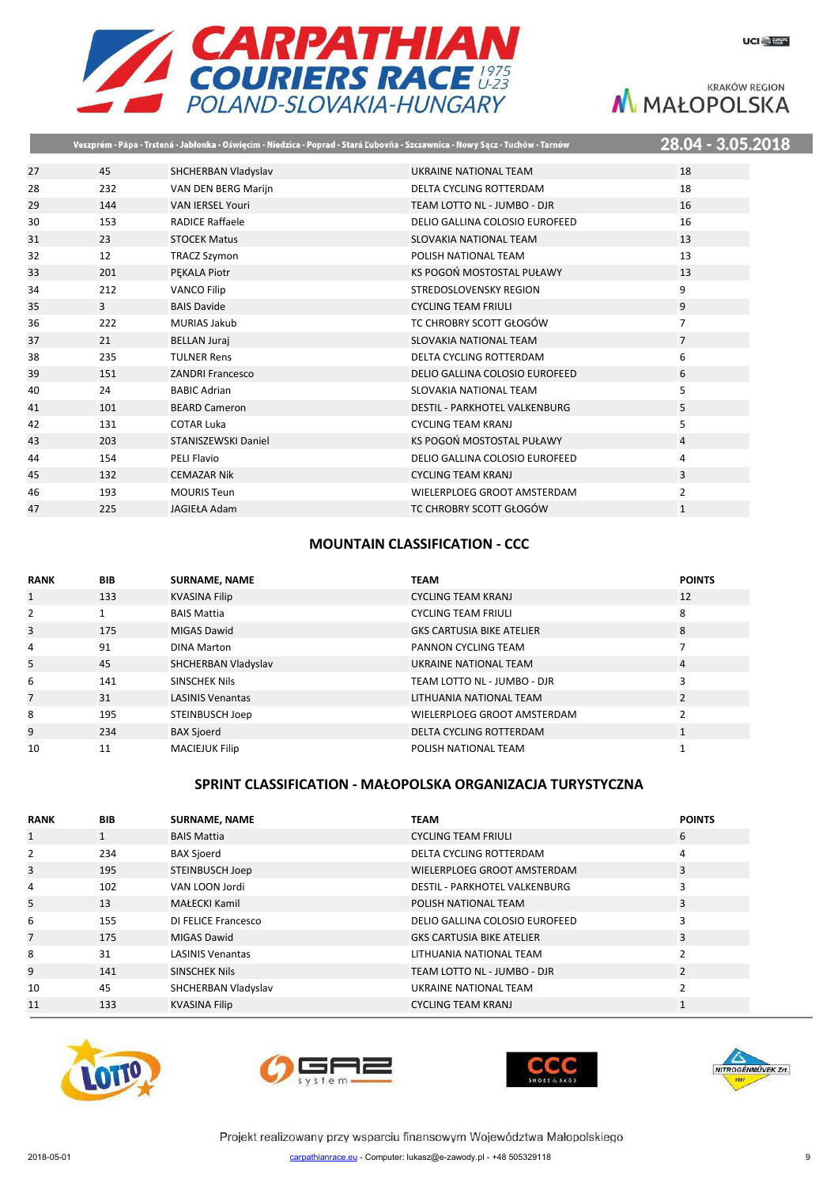

|    |                |                         | Veszprém - Pápa - Trstená - Jabłonka - Oświęcim - Niedzica - Poprad - Stará Ľubovňa - Szczawnica - Nowy Sącz - Tuchów - Tarnów | 28.04 - 3.05.2018 |
|----|----------------|-------------------------|--------------------------------------------------------------------------------------------------------------------------------|-------------------|
| 27 | 45             | SHCHERBAN Vladyslav     | UKRAINE NATIONAL TEAM                                                                                                          | 18                |
| 28 | 232            | VAN DEN BERG Marijn     | DELTA CYCLING ROTTERDAM                                                                                                        | 18                |
| 29 | 144            | <b>VAN IERSEL Youri</b> | TEAM LOTTO NL - JUMBO - DJR                                                                                                    | 16                |
| 30 | 153            | <b>RADICE Raffaele</b>  | DELIO GALLINA COLOSIO EUROFEED                                                                                                 | 16                |
| 31 | 23             | <b>STOCEK Matus</b>     | <b>SLOVAKIA NATIONAL TEAM</b>                                                                                                  | 13                |
| 32 | 12             | <b>TRACZ Szymon</b>     | POLISH NATIONAL TEAM                                                                                                           | 13                |
| 33 | 201            | <b>PEKALA Piotr</b>     | KS POGOŃ MOSTOSTAL PUŁAWY                                                                                                      | 13                |
| 34 | 212            | <b>VANCO Filip</b>      | STREDOSLOVENSKY REGION                                                                                                         | 9                 |
| 35 | $\overline{3}$ | <b>BAIS Davide</b>      | <b>CYCLING TEAM FRIULI</b>                                                                                                     | 9                 |
| 36 | 222            | <b>MURIAS Jakub</b>     | TC CHROBRY SCOTT GŁOGÓW                                                                                                        | $\overline{7}$    |
| 37 | 21             | <b>BELLAN Juraj</b>     | SLOVAKIA NATIONAL TEAM                                                                                                         | $\overline{7}$    |
| 38 | 235            | <b>TULNER Rens</b>      | DELTA CYCLING ROTTERDAM                                                                                                        | 6                 |
| 39 | 151            | <b>ZANDRI Francesco</b> | DELIO GALLINA COLOSIO EUROFEED                                                                                                 | 6                 |
| 40 | 24             | <b>BABIC Adrian</b>     | SLOVAKIA NATIONAL TEAM                                                                                                         | 5                 |
| 41 | 101            | <b>BEARD Cameron</b>    | <b>DESTIL - PARKHOTEL VALKENBURG</b>                                                                                           | 5                 |
| 42 | 131            | <b>COTAR Luka</b>       | <b>CYCLING TEAM KRANJ</b>                                                                                                      | 5                 |
| 43 | 203            | STANISZEWSKI Daniel     | KS POGOŃ MOSTOSTAL PUŁAWY                                                                                                      | 4                 |
| 44 | 154            | <b>PELI Flavio</b>      | DELIO GALLINA COLOSIO EUROFEED                                                                                                 | 4                 |
| 45 | 132            | <b>CEMAZAR Nik</b>      | <b>CYCLING TEAM KRANJ</b>                                                                                                      | 3                 |
| 46 | 193            | <b>MOURIS Teun</b>      | WIELERPLOEG GROOT AMSTERDAM                                                                                                    | $\overline{2}$    |
| 47 | 225            | <b>JAGIEŁA Adam</b>     | TC CHROBRY SCOTT GŁOGÓW                                                                                                        | $\mathbf{1}$      |

### **MOUNTAIN CLASSIFICATION - CCC**

| <b>RANK</b>    | <b>BIB</b> | <b>SURNAME, NAME</b>    | <b>TEAM</b>                      | <b>POINTS</b> |
|----------------|------------|-------------------------|----------------------------------|---------------|
| $\mathbf{1}$   | 133        | <b>KVASINA Filip</b>    | <b>CYCLING TEAM KRANJ</b>        | 12            |
| 2              |            | <b>BAIS Mattia</b>      | <b>CYCLING TEAM FRIULI</b>       | 8             |
| 3              | 175        | <b>MIGAS Dawid</b>      | <b>GKS CARTUSIA BIKE ATELIER</b> | 8             |
| 4              | 91         | <b>DINA Marton</b>      | PANNON CYCLING TEAM              |               |
| 5              | 45         | SHCHERBAN Vladyslav     | UKRAINE NATIONAL TEAM            | 4             |
| 6              | 141        | <b>SINSCHEK Nils</b>    | TEAM LOTTO NL - JUMBO - DJR      | 3             |
| $\overline{7}$ | 31         | <b>LASINIS Venantas</b> | LITHUANIA NATIONAL TEAM          | 2             |
| 8              | 195        | STEINBUSCH Joep         | WIELERPLOEG GROOT AMSTERDAM      |               |
| 9              | 234        | <b>BAX Sjoerd</b>       | DELTA CYCLING ROTTERDAM          |               |
| 10             | 11         | <b>MACIEJUK Filip</b>   | POLISH NATIONAL TEAM             |               |

### **SPRINT CLASSIFICATION - MAŁOPOLSKA ORGANIZACJA TURYSTYCZNA**

| <b>RANK</b>    | <b>BIB</b> | <b>SURNAME, NAME</b>    | <b>TEAM</b>                          | <b>POINTS</b> |
|----------------|------------|-------------------------|--------------------------------------|---------------|
| 1              | 1          | <b>BAIS Mattia</b>      | <b>CYCLING TEAM FRIULI</b>           | 6             |
| 2              | 234        | <b>BAX Sjoerd</b>       | DELTA CYCLING ROTTERDAM              | 4             |
| 3              | 195        | <b>STEINBUSCH Joep</b>  | WIELERPLOEG GROOT AMSTERDAM          | 3             |
| 4              | 102        | VAN LOON Jordi          | <b>DESTIL - PARKHOTEL VALKENBURG</b> | 3             |
| 5              | 13         | <b>MAŁECKI Kamil</b>    | POLISH NATIONAL TEAM                 | 3             |
| 6              | 155        | DI FELICE Francesco     | DELIO GALLINA COLOSIO EUROFEED       |               |
| $\overline{7}$ | 175        | <b>MIGAS Dawid</b>      | <b>GKS CARTUSIA BIKE ATELIER</b>     | 3             |
| 8              | 31         | <b>LASINIS Venantas</b> | LITHUANIA NATIONAL TEAM              |               |
| 9              | 141        | SINSCHEK Nils           | TEAM LOTTO NL - JUMBO - DJR          | 2             |
| 10             | 45         | SHCHERBAN Vladyslav     | UKRAINE NATIONAL TEAM                |               |
| 11             | 133        | <b>KVASINA Filip</b>    | <b>CYCLING TEAM KRANJ</b>            |               |







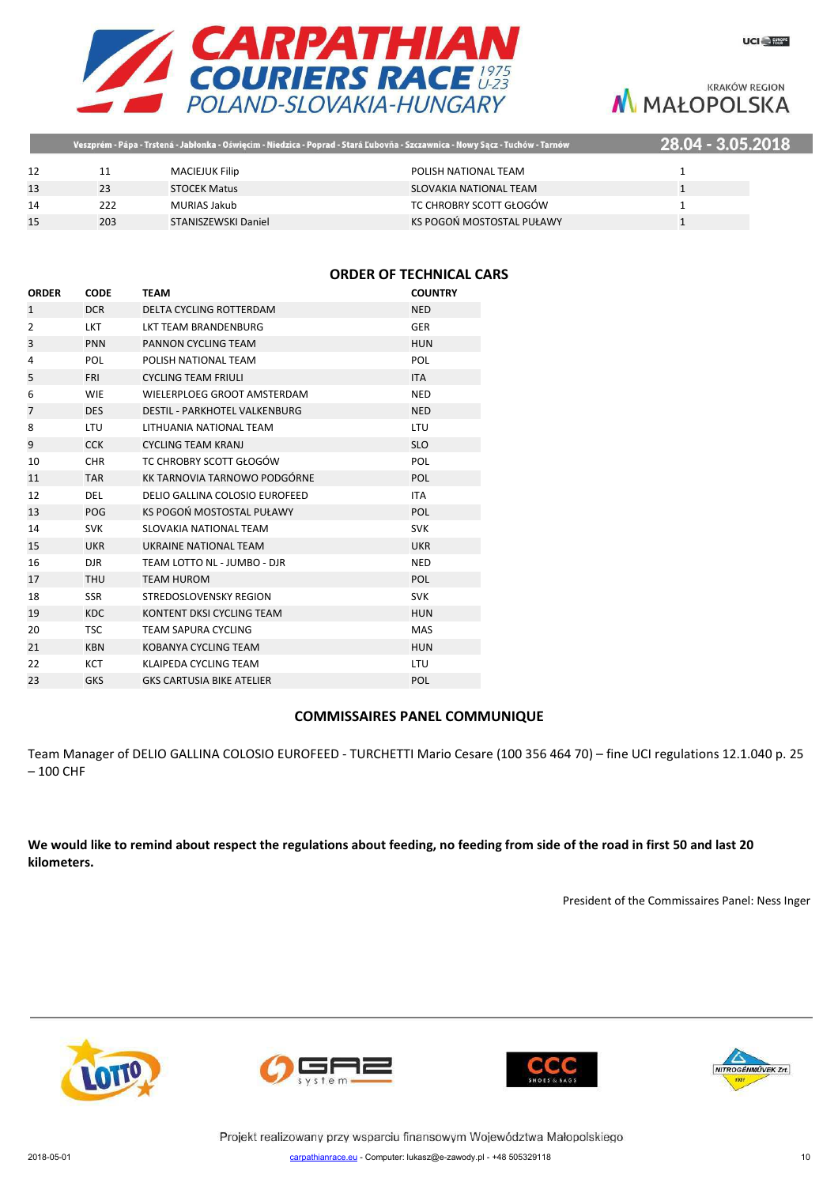

|    |     |                       | , Veszprém - Pápa - Trstená - Jabłonka - Oświęcim - Niedzica - Poprad - Stará Ľubovňa - Szczawnica - Nowy Sącz - Tuchów - Tarnów | 28.04 - 3.05.2018 |
|----|-----|-----------------------|----------------------------------------------------------------------------------------------------------------------------------|-------------------|
|    |     | <b>MACIEJUK Filip</b> | POLISH NATIONAL TEAM                                                                                                             |                   |
|    | 23  | <b>STOCEK Matus</b>   | SLOVAKIA NATIONAL TEAM                                                                                                           |                   |
| 14 | 222 | MURIAS Jakub          | TC CHROBRY SCOTT GŁOGÓW                                                                                                          |                   |
|    | 203 | STANISZEWSKI Daniel   | KS POGOŃ MOSTOSTAL PUŁAWY                                                                                                        |                   |

### **ORDER OF TECHNICAL CARS**

| <b>ORDER</b>   | <b>CODE</b> | <b>TEAM</b>                          | <b>COUNTRY</b> |
|----------------|-------------|--------------------------------------|----------------|
| $\mathbf{1}$   | <b>DCR</b>  | DELTA CYCLING ROTTERDAM              | <b>NED</b>     |
| 2              | <b>LKT</b>  | <b>LKT TEAM BRANDENBURG</b>          | <b>GER</b>     |
| 3              | <b>PNN</b>  | PANNON CYCLING TEAM                  | <b>HUN</b>     |
| 4              | <b>POL</b>  | POLISH NATIONAL TEAM                 | POL            |
| 5              | <b>FRI</b>  | <b>CYCLING TEAM FRIULI</b>           | <b>ITA</b>     |
| 6              | <b>WIE</b>  | WIELERPLOEG GROOT AMSTERDAM          | <b>NED</b>     |
| $\overline{7}$ | <b>DES</b>  | <b>DESTIL - PARKHOTEL VALKENBURG</b> | <b>NED</b>     |
| 8              | LTU         | LITHUANIA NATIONAL TEAM              | <b>LTU</b>     |
| 9              | <b>CCK</b>  | <b>CYCLING TEAM KRANJ</b>            | <b>SLO</b>     |
| 10             | <b>CHR</b>  | TC CHROBRY SCOTT GŁOGÓW              | <b>POL</b>     |
| 11             | <b>TAR</b>  | KK TARNOVIA TARNOWO PODGÓRNE         | <b>POL</b>     |
| 12             | <b>DEL</b>  | DELIO GALLINA COLOSIO EUROFEED       | <b>ITA</b>     |
| 13             | POG         | KS POGOŃ MOSTOSTAL PUŁAWY            | <b>POL</b>     |
| 14             | <b>SVK</b>  | SLOVAKIA NATIONAL TEAM               | <b>SVK</b>     |
| 15             | <b>UKR</b>  | UKRAINE NATIONAL TEAM                | <b>UKR</b>     |
| 16             | <b>DJR</b>  | TEAM LOTTO NL - JUMBO - DJR          | <b>NED</b>     |
| 17             | <b>THU</b>  | <b>TEAM HUROM</b>                    | <b>POL</b>     |
| 18             | <b>SSR</b>  | <b>STREDOSLOVENSKY REGION</b>        | <b>SVK</b>     |
| 19             | <b>KDC</b>  | KONTENT DKSI CYCLING TEAM            | <b>HUN</b>     |
| 20             | <b>TSC</b>  | <b>TEAM SAPURA CYCLING</b>           | <b>MAS</b>     |
| 21             | <b>KBN</b>  | KOBANYA CYCLING TEAM                 | <b>HUN</b>     |
| 22             | <b>KCT</b>  | KLAIPEDA CYCLING TEAM                | <b>LTU</b>     |
| 23             | <b>GKS</b>  | <b>GKS CARTUSIA BIKE ATELIER</b>     | POL            |

#### **COMMISSAIRES PANEL COMMUNIQUE**

Team Manager of DELIO GALLINA COLOSIO EUROFEED - TURCHETTI Mario Cesare (100 356 464 70) – fine UCI regulations 12.1.040 p. 25 – 100 CHF

**We would like to remind about respect the regulations about feeding, no feeding from side of the road in first 50 and last 20 kilometers.**

President of the Commissaires Panel: Ness Inger







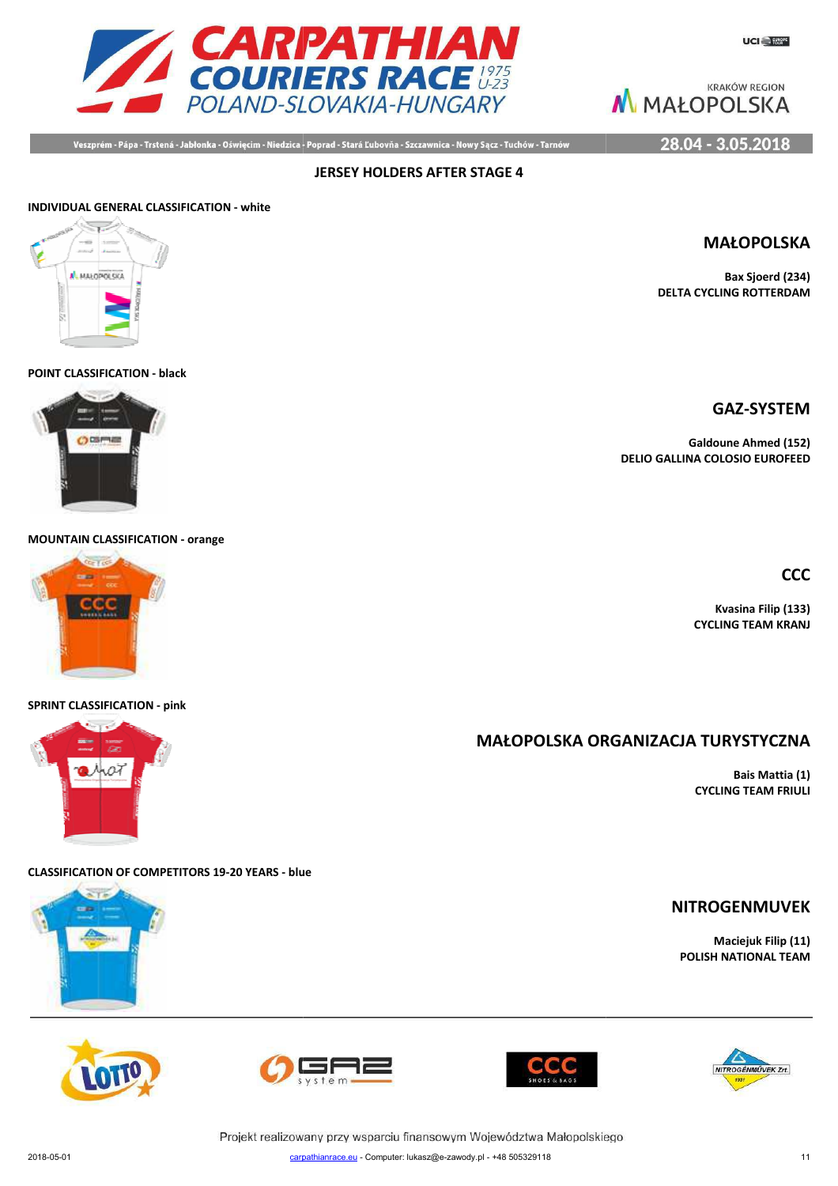

Veszprém - Pápa - Trstená - Jabłonka - Oświęcim - Niedzica - Poprad - Stará Ľubovňa - Szczawnica - Nowy Sącz - Tuchów - Tarnów

**JERSEY HOLDERS AFTER STAGE 4**

28.04 - 3.05.2018

# **INDIVIDUAL GENERAL CLASSIFICATION - white**



**POINT CLASSIFICATION - black**



**MOUNTAIN CLASSIFICATION - orange**



#### **SPRINT CLASSIFICATION - pink**



**CLASSIFICATION OF COMPETITORS 19-20 YEARS - blue**















**Bax Sjoerd (234) DELTA CYCLING ROTTERDAM**

**GAZ-SYSTEM**

**Galdoune Ahmed (152) DELIO GALLINA COLOSIO EUROFEED**

**CCC**

**Kvasina Filip (133) CYCLING TEAM KRANJ**

**MAŁOPOLSKA ORG ORGANIZACJA TURYSTYCZNA**

**Bais Mattia (1) CYCLING TEAM FRIULI**

# **NITROGENMUVEK**

**Maciejuk Filip (11) POLISH NATIONAL TEAM**



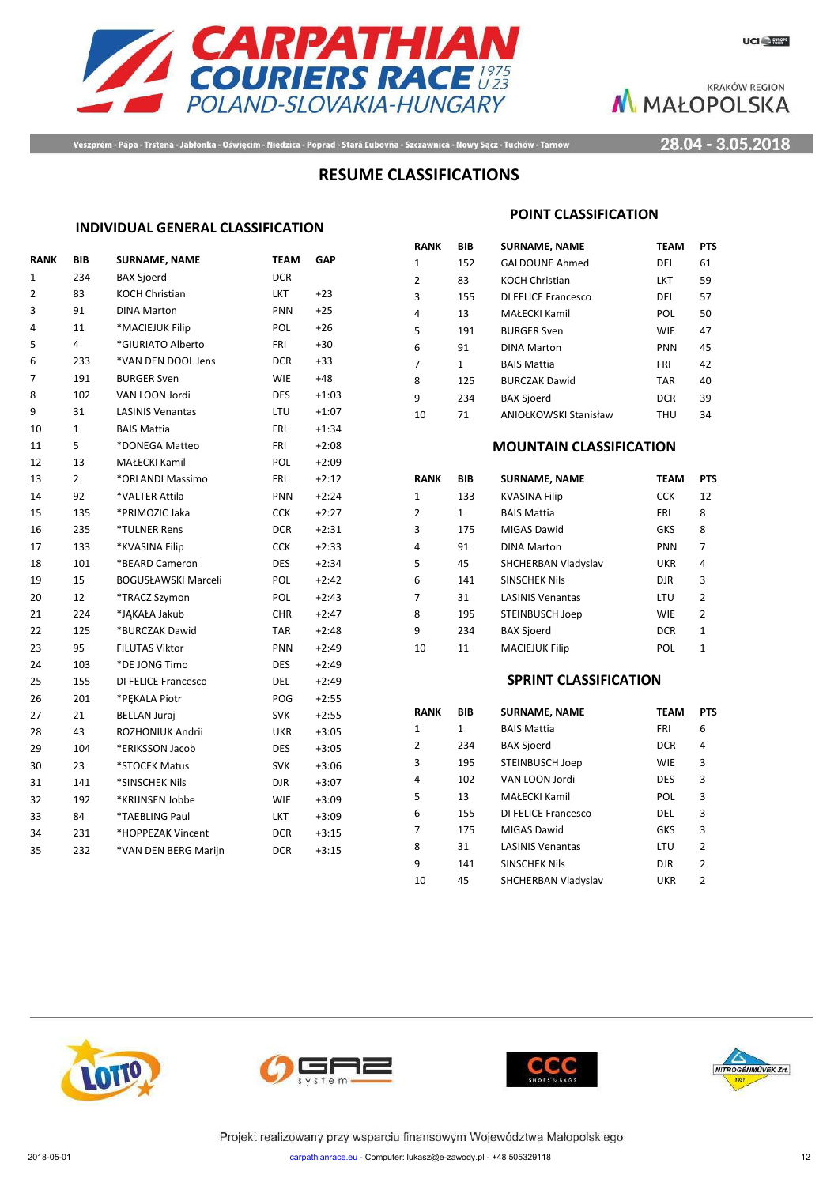



Veszprém - Pápa - Trstená - Jabłonka - Oświęcim - Niedzica - Poprad - Stará Ľubovňa - Szczawnica - Nowy Sącz - Tuchów - Tarnów

28.04 - 3.05.2018

# **RESUME CLASSIFICATIONS**

#### **INDIVIDUAL GENERAL CLASSIFICATION**

| <b>RANK</b>    | BIB          | <b>SURNAME, NAME</b>    | <b>TEAM</b> | GAP     |
|----------------|--------------|-------------------------|-------------|---------|
| 1              | 234          | <b>BAX Sjoerd</b>       | <b>DCR</b>  |         |
| $\overline{2}$ | 83           | KOCH Christian          | LKT         | $+23$   |
| 3              | 91           | <b>DINA Marton</b>      | <b>PNN</b>  | $+25$   |
| 4              | 11           | *MACIEJUK Filip         | <b>POL</b>  | $+26$   |
| 5              | 4            | *GIURIATO Alberto       | FRI         | $+30$   |
| 6              | 233          | *VAN DEN DOOL Jens      | DCR.        | $+33$   |
| 7              | 191          | <b>BURGER Sven</b>      | <b>WIE</b>  | $+48$   |
| 8              | 102          | VAN LOON Jordi          | <b>DES</b>  | $+1:03$ |
| 9              | 31           | <b>LASINIS Venantas</b> | LTU         | $+1:07$ |
| 10             | $\mathbf{1}$ | <b>BAIS Mattia</b>      | <b>FRI</b>  | $+1:34$ |
| 11             | 5            | *DONEGA Matteo          | <b>FRI</b>  | $+2:08$ |
| 12             | 13           | MAŁECKI Kamil           | POL         | $+2:09$ |
| 13             | 2            | *ORLANDI Massimo        | FRI         | $+2:12$ |
| 14             | 92           | *VALTER Attila          | <b>PNN</b>  | $+2:24$ |
| 15             | 135          | *PRIMOZIC Jaka          | <b>CCK</b>  | $+2:27$ |
| 16             | 235          | *TULNER Rens            | <b>DCR</b>  | $+2:31$ |
| 17             | 133          | *KVASINA Filip          | <b>CCK</b>  | $+2:33$ |
| 18             | 101          | *BEARD Cameron          | <b>DES</b>  | $+2:34$ |
| 19             | 15           | BOGUSŁAWSKI Marceli     | POL         | $+2:42$ |
| 20             | 12           | *TRACZ Szymon           | <b>POL</b>  | $+2:43$ |
| 21             | 224          | *JAKAŁA Jakub           | <b>CHR</b>  | $+2:47$ |
| 22             | 125          | *BURCZAK Dawid          | TAR         | $+2:48$ |
| 23             | 95           | <b>FILUTAS Viktor</b>   | PNN         | $+2:49$ |
| 24             | 103          | *DE JONG Timo           | <b>DES</b>  | $+2:49$ |
| 25             | 155          | DI FELICE Francesco     | <b>DEL</b>  | $+2:49$ |
| 26             | 201          | *PEKALA Piotr           | POG         | $+2:55$ |
| 27             | 21           | <b>BELLAN Juraj</b>     | <b>SVK</b>  | $+2:55$ |
| 28             | 43           | ROZHONIUK Andrii        | UKR         | $+3:05$ |
| 29             | 104          | *ERIKSSON Jacob         | <b>DES</b>  | $+3:05$ |
| 30             | 23           | *STOCEK Matus           | <b>SVK</b>  | $+3:06$ |
| 31             | 141          | *SINSCHEK Nils          | DJR         | $+3:07$ |
| 32             | 192          | *KRIJNSEN Jobbe         | <b>WIE</b>  | $+3:09$ |
| 33             | 84           | *TAEBLING Paul          | LKT         | $+3:09$ |
| 34             | 231          | *HOPPEZAK Vincent       | <b>DCR</b>  | $+3:15$ |
| 35             | 232          | *VAN DEN BERG Marijn    | <b>DCR</b>  | $+3:15$ |
|                |              |                         |             |         |

#### **POINT CLASSIFICATION**

| RANK | BIB          | <b>SURNAME, NAME</b>         | <b>TEAM</b> | <b>PTS</b> |
|------|--------------|------------------------------|-------------|------------|
| 1    | 152          | <b>GALDOUNE Ahmed</b>        | DEL         | 61         |
| 2    | 83           | <b>KOCH Christian</b>        | <b>LKT</b>  | 59         |
| 3    | 155          | DI FELICE Francesco          | DEL         | 57         |
| 4    | 13           | <b>MAŁECKI Kamil</b>         | <b>POL</b>  | 50         |
| 5    | 191          | <b>BURGER Sven</b>           | <b>WIE</b>  | 47         |
| 6    | 91           | <b>DINA Marton</b>           | <b>PNN</b>  | 45         |
| 7    | $\mathbf{1}$ | <b>BAIS Mattia</b>           | FRI         | 42         |
| 8    | 125          | <b>BURCZAK Dawid</b>         | <b>TAR</b>  | 40         |
| 9    | 234          | <b>BAX Sjoerd</b>            | <b>DCR</b>  | 39         |
| 10   | 71           | <b>ANIOŁKOWSKI Stanisław</b> | THU         | 34         |

#### **MOUNTAIN CLASSIFICATION**

| RANK | BIB | <b>SURNAME, NAME</b>    | TEAM       | <b>PTS</b>   |
|------|-----|-------------------------|------------|--------------|
| 1    | 133 | <b>KVASINA Filip</b>    | <b>CCK</b> | 12           |
| 2    | 1   | <b>BAIS Mattia</b>      | FRI        | 8            |
| 3    | 175 | MIGAS Dawid             | <b>GKS</b> | 8            |
| 4    | 91  | <b>DINA Marton</b>      | PNN        | 7            |
| 5    | 45  | SHCHERBAN Vladyslav     | UKR        | 4            |
| 6    | 141 | <b>SINSCHEK Nils</b>    | <b>DJR</b> | 3            |
| 7    | 31  | <b>LASINIS Venantas</b> | LTU        | 2            |
| 8    | 195 | STEINBUSCH Joep         | <b>WIE</b> | 2            |
| q    | 234 | <b>BAX Sjoerd</b>       | <b>DCR</b> | $\mathbf{1}$ |
| 10   | 11  | <b>MACIEJUK Filip</b>   | POL        | 1            |

#### **SPRINT CLASSIFICATION**

| <b>RANK</b>    | BIB | <b>SURNAME, NAME</b>    | <b>TEAM</b> | <b>PTS</b>     |
|----------------|-----|-------------------------|-------------|----------------|
| 1              | 1   | <b>BAIS Mattia</b>      | <b>FRI</b>  | 6              |
| $\overline{2}$ | 234 | <b>BAX Sjoerd</b>       | <b>DCR</b>  | 4              |
| 3              | 195 | <b>STEINBUSCH Joep</b>  | <b>WIE</b>  | 3              |
| 4              | 102 | VAN LOON Jordi          | <b>DES</b>  | 3              |
| 5              | 13  | <b>MAŁECKI Kamil</b>    | POL         | 3              |
| 6              | 155 | DI FELICE Francesco     | DEL         | 3              |
| 7              | 175 | MIGAS Dawid             | <b>GKS</b>  | 3              |
| 8              | 31  | <b>LASINIS Venantas</b> | LTU         | $\overline{2}$ |
| 9              | 141 | <b>SINSCHEK Nils</b>    | <b>DJR</b>  | $\overline{2}$ |
| 10             | 45  | SHCHERBAN Vladyslav     | UKR         | 2              |